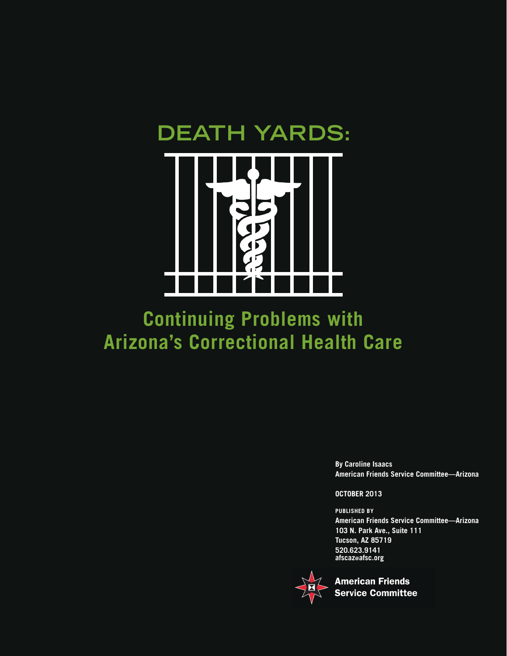



# **Continuing Problems with Arizona's Correctional Health Care**

**By Caroline Isaacs American Friends Service Committee—Arizona** 

#### **OCTOBER 2013**

**PUBLISHED BY American Friends Service Committee—Arizona 103 N. Park Ave., Suite 111 Tucson, AZ 85719 520.623.9141 afscaz@afsc.org**



**American Friends Service Committee**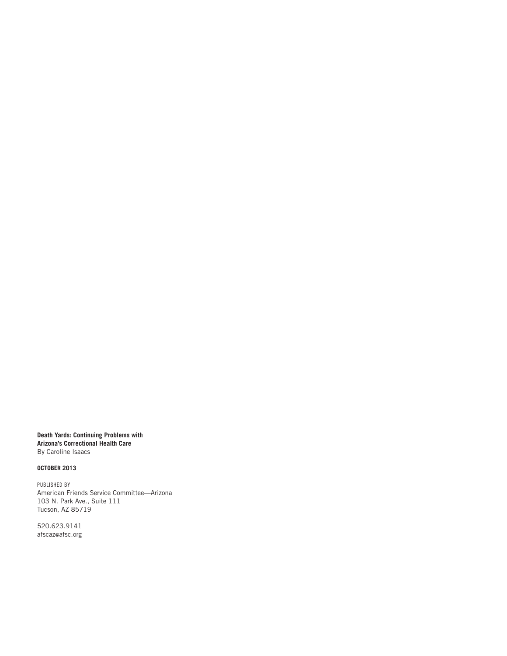**Death Yards: Continuing Problems with Arizona's Correctional Health Care** By Caroline Isaacs

#### **OCTOBER 2013**

PUBLISHED BY American Friends Service Committee—Arizona 103 N. Park Ave., Suite 111 Tucson, AZ 85719

520.623.9141 afscaz@afsc.org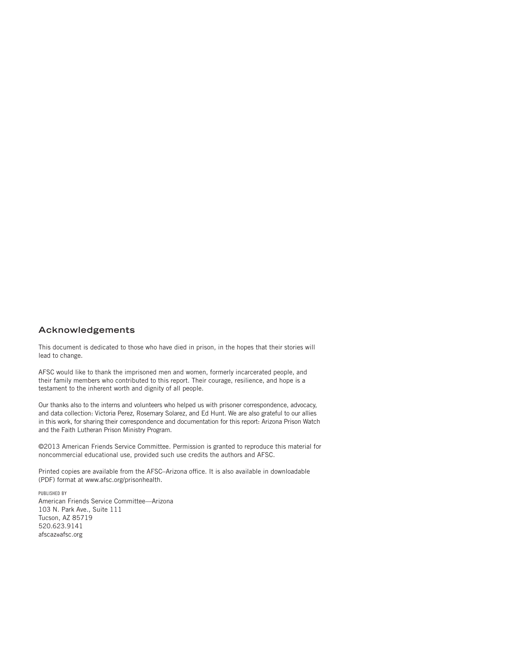#### **Acknowledgements**

This document is dedicated to those who have died in prison, in the hopes that their stories will lead to change.

AFSC would like to thank the imprisoned men and women, formerly incarcerated people, and their family members who contributed to this report. Their courage, resilience, and hope is a testament to the inherent worth and dignity of all people.

Our thanks also to the interns and volunteers who helped us with prisoner correspondence, advocacy, and data collection: Victoria Perez, Rosemary Solarez, and Ed Hunt. We are also grateful to our allies in this work, for sharing their correspondence and documentation for this report: Arizona Prison Watch and the Faith Lutheran Prison Ministry Program.

©2013 American Friends Service Committee. Permission is granted to reproduce this material for noncommercial educational use, provided such use credits the authors and AFSC.

Printed copies are available from the AFSC–Arizona office. It is also available in downloadable (PDF) format at www.afsc.org/prisonhealth.

PUBLISHED BY American Friends Service Committee—Arizona 103 N. Park Ave., Suite 111 Tucson, AZ 85719 520.623.9141 afscaz@afsc.org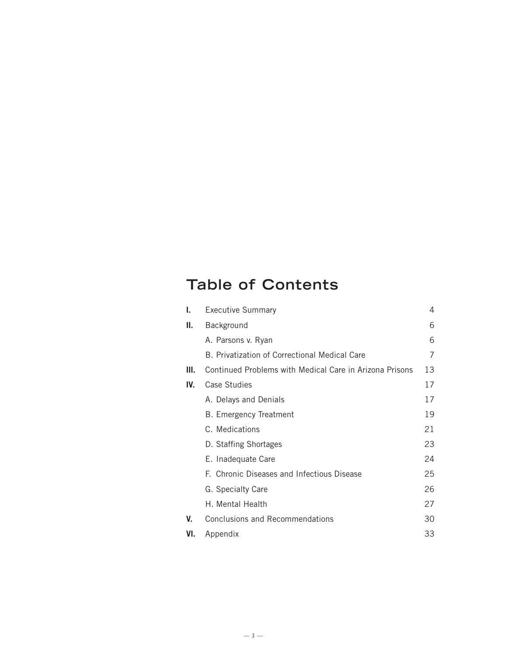# **Table of Contents**

| ı.  | <b>Executive Summary</b>                                | 4  |
|-----|---------------------------------------------------------|----|
| II. | Background                                              | 6  |
|     | A. Parsons v. Ryan                                      | 6  |
|     | B. Privatization of Correctional Medical Care           | 7  |
| Ш.  | Continued Problems with Medical Care in Arizona Prisons | 13 |
| IV. | Case Studies                                            | 17 |
|     | A. Delays and Denials                                   | 17 |
|     | <b>B.</b> Emergency Treatment                           | 19 |
|     | C. Medications                                          | 21 |
|     | D. Staffing Shortages                                   | 23 |
|     | E. Inadequate Care                                      | 24 |
|     | F. Chronic Diseases and Infectious Disease              | 25 |
|     | G. Specialty Care                                       | 26 |
|     | H. Mental Health                                        | 27 |
| V.  | <b>Conclusions and Recommendations</b>                  | 30 |
| VI. | Appendix                                                | 33 |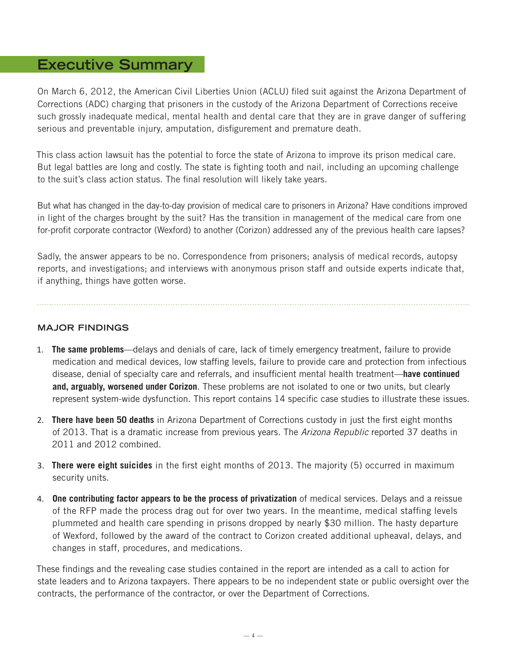# **Executive Summary**

On March 6, 2012, the American Civil Liberties Union (ACLU) filed suit against the Arizona Department of Corrections (ADC) charging that prisoners in the custody of the Arizona Department of Corrections receive such grossly inadequate medical, mental health and dental care that they are in grave danger of suffering serious and preventable injury, amputation, disfigurement and premature death.

This class action lawsuit has the potential to force the state of Arizona to improve its prison medical care. But legal battles are long and costly. The state is fighting tooth and nail, including an upcoming challenge to the suit's class action status. The final resolution will likely take years.

But what has changed in the day-to-day provision of medical care to prisoners in Arizona? Have conditions improved in light of the charges brought by the suit? Has the transition in management of the medical care from one for-profit corporate contractor (Wexford) to another (Corizon) addressed any of the previous health care lapses?

Sadly, the answer appears to be no. Correspondence from prisoners; analysis of medical records, autopsy reports, and investigations; and interviews with anonymous prison staff and outside experts indicate that, if anything, things have gotten worse.

#### **MAJOR FINDINGS**

- 1. **The same problems**—delays and denials of care, lack of timely emergency treatment, failure to provide medication and medical devices, low staffing levels, failure to provide care and protection from infectious disease, denial of specialty care and referrals, and insufficient mental health treatment—**have continued and, arguably, worsened under Corizon**. These problems are not isolated to one or two units, but clearly represent system-wide dysfunction. This report contains 14 specific case studies to illustrate these issues.
- 2. **There have been 50 deaths** in Arizona Department of Corrections custody in just the first eight months of 2013. That is a dramatic increase from previous years. The *Arizona Republic* reported 37 deaths in 2011 and 2012 combined.
- 3. **There were eight suicides** in the first eight months of 2013. The majority (5) occurred in maximum security units.
- 4. **One contributing factor appears to be the process of privatization** of medical services. Delays and a reissue of the RFP made the process drag out for over two years. In the meantime, medical staffing levels plummeted and health care spending in prisons dropped by nearly \$30 million. The hasty departure of Wexford, followed by the award of the contract to Corizon created additional upheaval, delays, and changes in staff, procedures, and medications.

These findings and the revealing case studies contained in the report are intended as a call to action for state leaders and to Arizona taxpayers. There appears to be no independent state or public oversight over the contracts, the performance of the contractor, or over the Department of Corrections.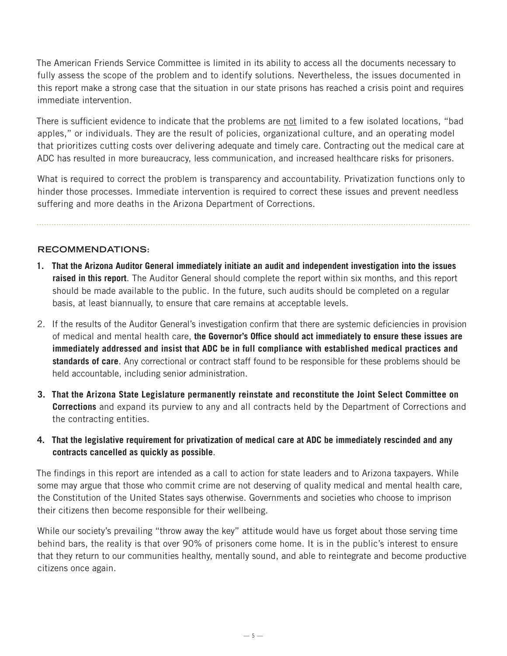The American Friends Service Committee is limited in its ability to access all the documents necessary to fully assess the scope of the problem and to identify solutions. Nevertheless, the issues documented in this report make a strong case that the situation in our state prisons has reached a crisis point and requires immediate intervention.

There is sufficient evidence to indicate that the problems are not limited to a few isolated locations, "bad apples," or individuals. They are the result of policies, organizational culture, and an operating model that prioritizes cutting costs over delivering adequate and timely care. Contracting out the medical care at ADC has resulted in more bureaucracy, less communication, and increased healthcare risks for prisoners.

What is required to correct the problem is transparency and accountability. Privatization functions only to hinder those processes. Immediate intervention is required to correct these issues and prevent needless suffering and more deaths in the Arizona Department of Corrections.

#### **RECOMMENDATIONS:**

- **1. That the Arizona Auditor General immediately initiate an audit and independent investigation into the issues raised in this report**. The Auditor General should complete the report within six months, and this report should be made available to the public. In the future, such audits should be completed on a regular basis, at least biannually, to ensure that care remains at acceptable levels.
- 2. If the results of the Auditor General's investigation confirm that there are systemic deficiencies in provision of medical and mental health care, **the Governor's Office should act immediately to ensure these issues are immediately addressed and insist that ADC be in full compliance with established medical practices and standards of care**. Any correctional or contract staff found to be responsible for these problems should be held accountable, including senior administration.
- **3. That the Arizona State Legislature permanently reinstate and reconstitute the Joint Select Committee on Corrections** and expand its purview to any and all contracts held by the Department of Corrections and the contracting entities.
- **4. That the legislative requirement for privatization of medical care at ADC be immediately rescinded and any contracts cancelled as quickly as possible**.

The findings in this report are intended as a call to action for state leaders and to Arizona taxpayers. While some may argue that those who commit crime are not deserving of quality medical and mental health care, the Constitution of the United States says otherwise. Governments and societies who choose to imprison their citizens then become responsible for their wellbeing.

While our society's prevailing "throw away the key" attitude would have us forget about those serving time behind bars, the reality is that over 90% of prisoners come home. It is in the public's interest to ensure that they return to our communities healthy, mentally sound, and able to reintegrate and become productive citizens once again.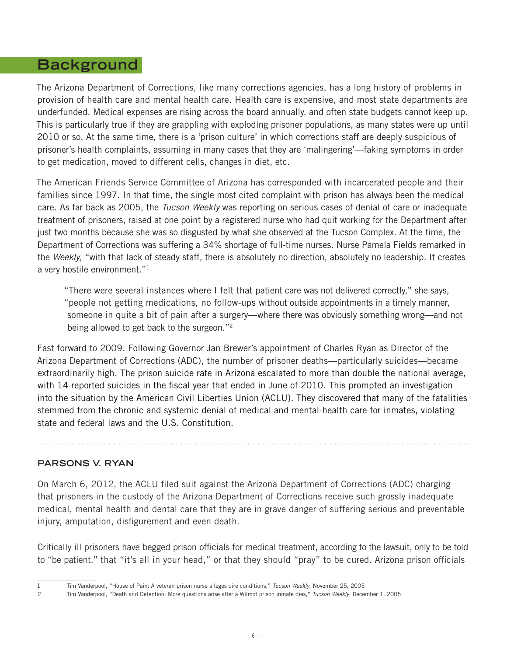# **Background**

The Arizona Department of Corrections, like many corrections agencies, has a long history of problems in provision of health care and mental health care. Health care is expensive, and most state departments are underfunded. Medical expenses are rising across the board annually, and often state budgets cannot keep up. This is particularly true if they are grappling with exploding prisoner populations, as many states were up until 2010 or so. At the same time, there is a 'prison culture' in which corrections staff are deeply suspicious of prisoner's health complaints, assuming in many cases that they are 'malingering'—faking symptoms in order to get medication, moved to different cells, changes in diet, etc.

The American Friends Service Committee of Arizona has corresponded with incarcerated people and their families since 1997. In that time, the single most cited complaint with prison has always been the medical care. As far back as 2005, the *Tucson Weekly* was reporting on serious cases of denial of care or inadequate treatment of prisoners, raised at one point by a registered nurse who had quit working for the Department after just two months because she was so disgusted by what she observed at the Tucson Complex. At the time, the Department of Corrections was suffering a 34% shortage of full-time nurses. Nurse Pamela Fields remarked in the *Weekly*, "with that lack of steady staff, there is absolutely no direction, absolutely no leadership. It creates a very hostile environment."1

"There were several instances where I felt that patient care was not delivered correctly," she says, "people not getting medications, no follow-ups without outside appointments in a timely manner, someone in quite a bit of pain after a surgery—where there was obviously something wrong—and not being allowed to get back to the surgeon."<sup>2</sup>

Fast forward to 2009. Following Governor Jan Brewer's appointment of Charles Ryan as Director of the Arizona Department of Corrections (ADC), the number of prisoner deaths—particularly suicides—became extraordinarily high. The prison suicide rate in Arizona escalated to more than double the national average, with 14 reported suicides in the fiscal year that ended in June of 2010. This prompted an investigation into the situation by the American Civil Liberties Union (ACLU). They discovered that many of the fatalities stemmed from the chronic and systemic denial of medical and mental-health care for inmates, violating state and federal laws and the U.S. Constitution.

#### **PARSONS V. RYAN**

On March 6, 2012, the ACLU filed suit against the Arizona Department of Corrections (ADC) charging that prisoners in the custody of the Arizona Department of Corrections receive such grossly inadequate medical, mental health and dental care that they are in grave danger of suffering serious and preventable injury, amputation, disfigurement and even death.

Critically ill prisoners have begged prison officials for medical treatment, according to the lawsuit, only to be told to "be patient," that "it's all in your head," or that they should "pray" to be cured. Arizona prison officials

<sup>1</sup> Tim Vanderpool, "House of Pain: A veteran prison nurse alleges dire conditions," *Tucson Weekly*, November 25, 2005

<sup>2</sup> Tim Vanderpool, "Death and Detention: More questions arise after a Wilmot prison inmate dies," *Tucson Weekly*, December 1, 2005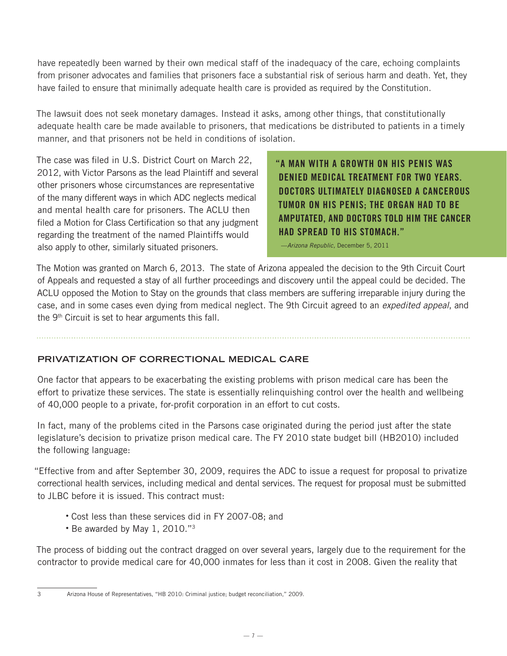have repeatedly been warned by their own medical staff of the inadequacy of the care, echoing complaints from prisoner advocates and families that prisoners face a substantial risk of serious harm and death. Yet, they have failed to ensure that minimally adequate health care is provided as required by the Constitution.

The lawsuit does not seek monetary damages. Instead it asks, among other things, that constitutionally adequate health care be made available to prisoners, that medications be distributed to patients in a timely manner, and that prisoners not be held in conditions of isolation.

The case was filed in U.S. District Court on March 22, 2012, with Victor Parsons as the lead Plaintiff and several other prisoners whose circumstances are representative of the many different ways in which ADC neglects medical and mental health care for prisoners. The ACLU then filed a Motion for Class Certification so that any judgment regarding the treatment of the named Plaintiffs would also apply to other, similarly situated prisoners.

"A MAN WITH A GROWTH ON HIS PENIS WAS DENIED MEDICAL TREATMENT FOR TWO YEARS. DOCTORS ULTIMATELY DIAGNOSED A CANCEROUS TUMOR ON HIS PENIS; THE ORGAN HAD TO BE AMPUTATED, AND DOCTORS TOLD HIM THE CANCER HAD SPREAD TO HIS STOMACH."

—*Arizona Republic,* December 5, 2011

The Motion was granted on March 6, 2013. The state of Arizona appealed the decision to the 9th Circuit Court of Appeals and requested a stay of all further proceedings and discovery until the appeal could be decided. The ACLU opposed the Motion to Stay on the grounds that class members are suffering irreparable injury during the case, and in some cases even dying from medical neglect. The 9th Circuit agreed to an *expedited appeal*, and the 9<sup>th</sup> Circuit is set to hear arguments this fall.

#### **PRIVATIZATION OF CORRECTIONAL MEDICAL CARE**

One factor that appears to be exacerbating the existing problems with prison medical care has been the effort to privatize these services. The state is essentially relinquishing control over the health and wellbeing of 40,000 people to a private, for-profit corporation in an effort to cut costs.

In fact, many of the problems cited in the Parsons case originated during the period just after the state legislature's decision to privatize prison medical care. The FY 2010 state budget bill (HB2010) included the following language:

"Effective from and after September 30, 2009, requires the ADC to issue a request for proposal to privatize correctional health services, including medical and dental services. The request for proposal must be submitted to JLBC before it is issued. This contract must:

- Cost less than these services did in FY 2007-08; and
- Be awarded by May 1, 2010."3

The process of bidding out the contract dragged on over several years, largely due to the requirement for the contractor to provide medical care for 40,000 inmates for less than it cost in 2008. Given the reality that

<sup>3</sup> Arizona House of Representatives, "HB 2010: Criminal justice; budget reconciliation," 2009.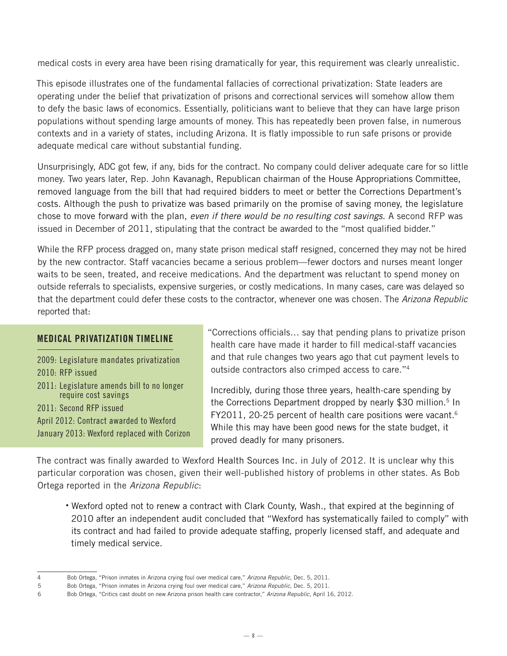medical costs in every area have been rising dramatically for year, this requirement was clearly unrealistic.

This episode illustrates one of the fundamental fallacies of correctional privatization: State leaders are operating under the belief that privatization of prisons and correctional services will somehow allow them to defy the basic laws of economics. Essentially, politicians want to believe that they can have large prison populations without spending large amounts of money. This has repeatedly been proven false, in numerous contexts and in a variety of states, including Arizona. It is flatly impossible to run safe prisons or provide adequate medical care without substantial funding.

Unsurprisingly, ADC got few, if any, bids for the contract. No company could deliver adequate care for so little money. Two years later, Rep. John Kavanagh, Republican chairman of the House Appropriations Committee, removed language from the bill that had required bidders to meet or better the Corrections Department's costs. Although the push to privatize was based primarily on the promise of saving money, the legislature chose to move forward with the plan, *even if there would be no resulting cost savings*. A second RFP was issued in December of 2011, stipulating that the contract be awarded to the "most qualified bidder."

While the RFP process dragged on, many state prison medical staff resigned, concerned they may not be hired by the new contractor. Staff vacancies became a serious problem—fewer doctors and nurses meant longer waits to be seen, treated, and receive medications. And the department was reluctant to spend money on outside referrals to specialists, expensive surgeries, or costly medications. In many cases, care was delayed so that the department could defer these costs to the contractor, whenever one was chosen. The *Arizona Republic* reported that:

#### MEDICAL PRIVATIZATION TIMELINE

2009: Legislature mandates privatization 2010: RFP issued 2011: Legislature amends bill to no longer require cost savings 2011: Second RFP issued April 2012: Contract awarded to Wexford January 2013: Wexford replaced with Corizon "Corrections officials… say that pending plans to privatize prison health care have made it harder to fill medical-staff vacancies and that rule changes two years ago that cut payment levels to outside contractors also crimped access to care."4

Incredibly, during those three years, health-care spending by the Corrections Department dropped by nearly \$30 million.<sup>5</sup> In FY2011, 20-25 percent of health care positions were vacant.<sup>6</sup> While this may have been good news for the state budget, it proved deadly for many prisoners.

The contract was finally awarded to Wexford Health Sources Inc. in July of 2012. It is unclear why this particular corporation was chosen, given their well-published history of problems in other states. As Bob Ortega reported in the *Arizona Republic*:

• Wexford opted not to renew a contract with Clark County, Wash., that expired at the beginning of 2010 after an independent audit concluded that "Wexford has systematically failed to comply" with its contract and had failed to provide adequate staffing, properly licensed staff, and adequate and timely medical service.

<sup>4</sup> Bob Ortega, "Prison inmates in Arizona crying foul over medical care," *Arizona Republic*, Dec. 5, 2011.

<sup>5</sup> Bob Ortega, "Prison inmates in Arizona crying foul over medical care," *Arizona Republic*, Dec. 5, 2011.

<sup>6</sup> Bob Ortega, "Critics cast doubt on new Arizona prison health care contractor," *Arizona Republic*, April 16, 2012.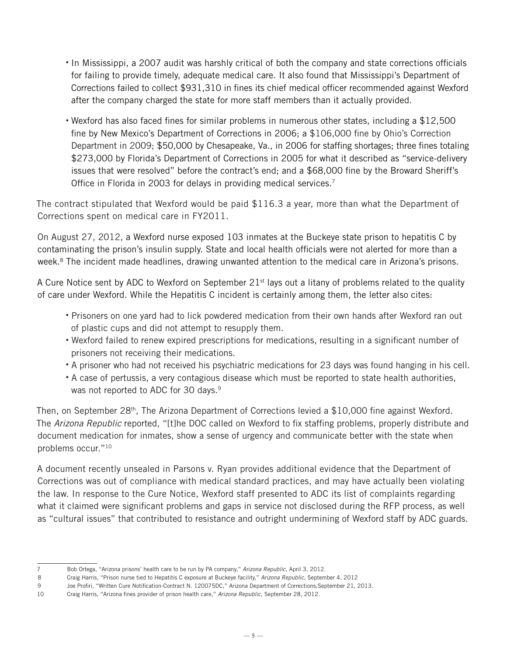- In Mississippi, a 2007 audit was harshly critical of both the company and state corrections officials for failing to provide timely, adequate medical care. It also found that Mississippi's Department of Corrections failed to collect \$931,310 in fines its chief medical officer recommended against Wexford after the company charged the state for more staff members than it actually provided.
- Wexford has also faced fines for similar problems in numerous other states, including a \$12,500 fine by New Mexico's Department of Corrections in 2006; a \$106,000 fine by Ohio's Correction Department in 2009; \$50,000 by Chesapeake, Va., in 2006 for staffing shortages; three fines totaling \$273,000 by Florida's Department of Corrections in 2005 for what it described as "service-delivery issues that were resolved" before the contract's end; and a \$68,000 fine by the Broward Sheriff's Office in Florida in 2003 for delays in providing medical services.<sup>7</sup>

The contract stipulated that Wexford would be paid \$116.3 a year, more than what the Department of Corrections spent on medical care in FY2011.

On August 27, 2012, a Wexford nurse exposed 103 inmates at the Buckeye state prison to hepatitis C by contaminating the prison's insulin supply. State and local health officials were not alerted for more than a week.<sup>8</sup> The incident made headlines, drawing unwanted attention to the medical care in Arizona's prisons.

A Cure Notice sent by ADC to Wexford on September  $21<sup>st</sup>$  lays out a litany of problems related to the quality of care under Wexford. While the Hepatitis C incident is certainly among them, the letter also cites:

- Prisoners on one yard had to lick powdered medication from their own hands after Wexford ran out of plastic cups and did not attempt to resupply them.
- Wexford failed to renew expired prescriptions for medications, resulting in a significant number of prisoners not receiving their medications.
- A prisoner who had not received his psychiatric medications for 23 days was found hanging in his cell.
- A case of pertussis, a very contagious disease which must be reported to state health authorities, was not reported to ADC for 30 days.<sup>9</sup>

Then, on September  $28<sup>th</sup>$ , The Arizona Department of Corrections levied a \$10,000 fine against Wexford. The *Arizona Republic* reported, "[t]he DOC called on Wexford to fix staffing problems, properly distribute and document medication for inmates, show a sense of urgency and communicate better with the state when problems occur."10

A document recently unsealed in Parsons v. Ryan provides additional evidence that the Department of Corrections was out of compliance with medical standard practices, and may have actually been violating the law. In response to the Cure Notice, Wexford staff presented to ADC its list of complaints regarding what it claimed were significant problems and gaps in service not disclosed during the RFP process, as well as "cultural issues" that contributed to resistance and outright undermining of Wexford staff by ADC guards.

<sup>7</sup> Bob Ortega, "Arizona prisons' health care to be run by PA company," *Arizona Republic*, April 3, 2012.

<sup>8</sup> Craig Harris, "Prison nurse tied to Hepatitis C exposure at Buckeye facility," *Arizona Republic*, September 4, 2012

<sup>9</sup> Joe Profiri, "Written Cure Notification-Contract N. 120075DC," Arizona Department of Corrections,September 21, 2013.

<sup>10</sup> Craig Harris, "Arizona fines provider of prison health care," *Arizona Republic*, September 28, 2012.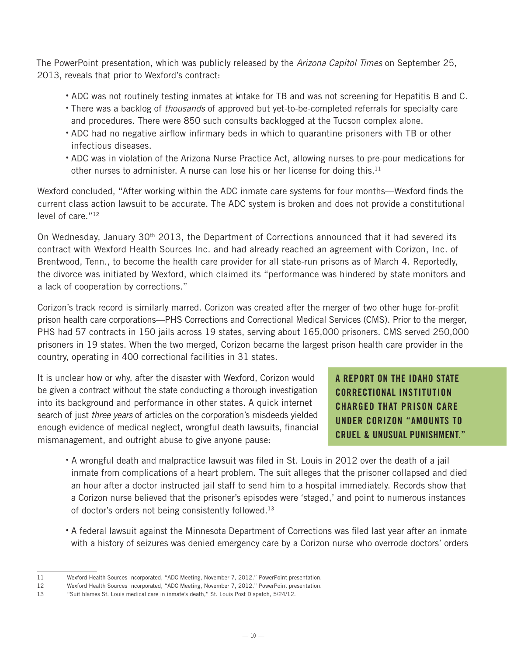The PowerPoint presentation, which was publicly released by the *Arizona Capitol Times* on September 25, 2013, reveals that prior to Wexford's contract:

- ADC was not routinely testing inmates at intake for TB and was not screening for Hepatitis B and C. •
- There was a backlog of *thousands* of approved but yet-to-be-completed referrals for specialty care and procedures. There were 850 such consults backlogged at the Tucson complex alone.
- ADC had no negative airflow infirmary beds in which to quarantine prisoners with TB or other infectious diseases.
- ADC was in violation of the Arizona Nurse Practice Act, allowing nurses to pre-pour medications for other nurses to administer. A nurse can lose his or her license for doing this.<sup>11</sup>

Wexford concluded, "After working within the ADC inmate care systems for four months—Wexford finds the current class action lawsuit to be accurate. The ADC system is broken and does not provide a constitutional level of care."12

On Wednesday, January 30<sup>th</sup> 2013, the Department of Corrections announced that it had severed its contract with Wexford Health Sources Inc. and had already reached an agreement with Corizon, Inc. of Brentwood, Tenn., to become the health care provider for all state-run prisons as of March 4. Reportedly, the divorce was initiated by Wexford, which claimed its "performance was hindered by state monitors and a lack of cooperation by corrections."

Corizon's track record is similarly marred. Corizon was created after the merger of two other huge for-profit prison health care corporations—PHS Corrections and Correctional Medical Services (CMS). Prior to the merger, PHS had 57 contracts in 150 jails across 19 states, serving about 165,000 prisoners. CMS served 250,000 prisoners in 19 states. When the two merged, Corizon became the largest prison health care provider in the country, operating in 400 correctional facilities in 31 states.

It is unclear how or why, after the disaster with Wexford, Corizon would be given a contract without the state conducting a thorough investigation into its background and performance in other states. A quick internet search of just *three years* of articles on the corporation's misdeeds yielded enough evidence of medical neglect, wrongful death lawsuits, financial mismanagement, and outright abuse to give anyone pause:

A REPORT ON THE IDAHO STATE CORRECTIONAL INSTITUTION CHARGED THAT PRISON CARE UNDER CORIZON "AMOUNTS TO CRUEL & UNUSUAL PUNISHMENT."

- A wrongful death and malpractice lawsuit was filed in St. Louis in 2012 over the death of a jail inmate from complications of a heart problem. The suit alleges that the prisoner collapsed and died an hour after a doctor instructed jail staff to send him to a hospital immediately. Records show that a Corizon nurse believed that the prisoner's episodes were 'staged,' and point to numerous instances of doctor's orders not being consistently followed.<sup>13</sup>
- A federal lawsuit against the Minnesota Department of Corrections was filed last year after an inmate with a history of seizures was denied emergency care by a Corizon nurse who overrode doctors' orders

<sup>11</sup> Wexford Health Sources Incorporated, "ADC Meeting, November 7, 2012." PowerPoint presentation.

<sup>12</sup> Wexford Health Sources Incorporated, "ADC Meeting, November 7, 2012." PowerPoint presentation.

<sup>13</sup> "Suit blames St. Louis medical care in inmate's death," St. Louis Post Dispatch, 5/24/12.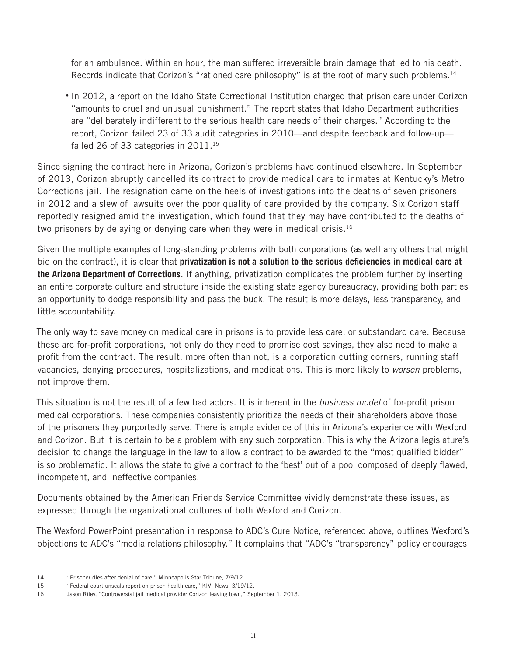for an ambulance. Within an hour, the man suffered irreversible brain damage that led to his death. Records indicate that Corizon's "rationed care philosophy" is at the root of many such problems.<sup>14</sup>

• In 2012, a report on the Idaho State Correctional Institution charged that prison care under Corizon "amounts to cruel and unusual punishment." The report states that Idaho Department authorities are "deliberately indifferent to the serious health care needs of their charges." According to the report, Corizon failed 23 of 33 audit categories in 2010—and despite feedback and follow-up failed 26 of 33 categories in 2011.<sup>15</sup>

Since signing the contract here in Arizona, Corizon's problems have continued elsewhere. In September of 2013, Corizon abruptly cancelled its contract to provide medical care to inmates at Kentucky's Metro Corrections jail. The resignation came on the heels of investigations into the deaths of seven prisoners in 2012 and a slew of lawsuits over the poor quality of care provided by the company. Six Corizon staff reportedly resigned amid the investigation, which found that they may have contributed to the deaths of two prisoners by delaying or denying care when they were in medical crisis.<sup>16</sup>

Given the multiple examples of long-standing problems with both corporations (as well any others that might bid on the contract), it is clear that **privatization is not a solution to the serious deficiencies in medical care at the Arizona Department of Corrections**. If anything, privatization complicates the problem further by inserting an entire corporate culture and structure inside the existing state agency bureaucracy, providing both parties an opportunity to dodge responsibility and pass the buck. The result is more delays, less transparency, and little accountability.

The only way to save money on medical care in prisons is to provide less care, or substandard care. Because these are for-profit corporations, not only do they need to promise cost savings, they also need to make a profit from the contract. The result, more often than not, is a corporation cutting corners, running staff vacancies, denying procedures, hospitalizations, and medications. This is more likely to *worsen* problems, not improve them.

This situation is not the result of a few bad actors. It is inherent in the *business model* of for-profit prison medical corporations. These companies consistently prioritize the needs of their shareholders above those of the prisoners they purportedly serve. There is ample evidence of this in Arizona's experience with Wexford and Corizon. But it is certain to be a problem with any such corporation. This is why the Arizona legislature's decision to change the language in the law to allow a contract to be awarded to the "most qualified bidder" is so problematic. It allows the state to give a contract to the 'best' out of a pool composed of deeply flawed, incompetent, and ineffective companies.

Documents obtained by the American Friends Service Committee vividly demonstrate these issues, as expressed through the organizational cultures of both Wexford and Corizon.

The Wexford PowerPoint presentation in response to ADC's Cure Notice, referenced above, outlines Wexford's objections to ADC's "media relations philosophy." It complains that "ADC's "transparency" policy encourages

<sup>14</sup> "Prisoner dies after denial of care," Minneapolis Star Tribune, 7/9/12.

<sup>15</sup> "Federal court unseals report on prison health care," KIVI News, 3/19/12.

<sup>16</sup> Jason Riley, "Controversial jail medical provider Corizon leaving town," September 1, 2013.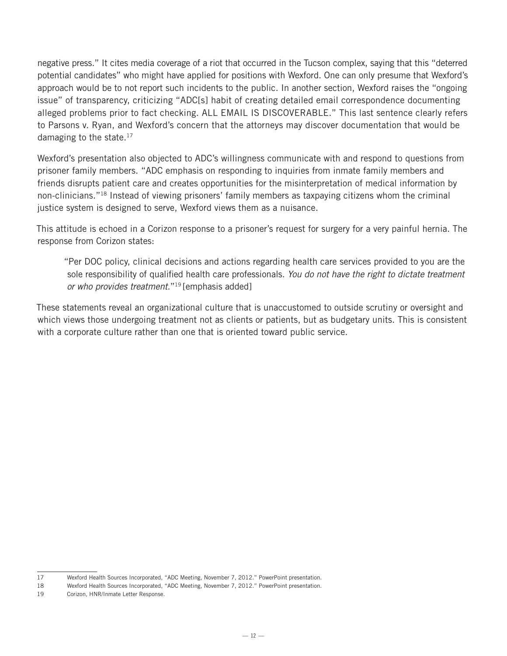negative press." It cites media coverage of a riot that occurred in the Tucson complex, saying that this "deterred potential candidates" who might have applied for positions with Wexford. One can only presume that Wexford's approach would be to not report such incidents to the public. In another section, Wexford raises the "ongoing issue" of transparency, criticizing "ADC[s] habit of creating detailed email correspondence documenting alleged problems prior to fact checking. ALL EMAIL IS DISCOVERABLE." This last sentence clearly refers to Parsons v. Ryan, and Wexford's concern that the attorneys may discover documentation that would be damaging to the state.<sup>17</sup>

Wexford's presentation also objected to ADC's willingness communicate with and respond to questions from prisoner family members. "ADC emphasis on responding to inquiries from inmate family members and friends disrupts patient care and creates opportunities for the misinterpretation of medical information by non-clinicians."18 Instead of viewing prisoners' family members as taxpaying citizens whom the criminal justice system is designed to serve, Wexford views them as a nuisance.

This attitude is echoed in a Corizon response to a prisoner's request for surgery for a very painful hernia. The response from Corizon states:

"Per DOC policy, clinical decisions and actions regarding health care services provided to you are the sole responsibility of qualified health care professionals. *You do not have the right to dictate treatment or who provides treatment*."19 [emphasis added]

These statements reveal an organizational culture that is unaccustomed to outside scrutiny or oversight and which views those undergoing treatment not as clients or patients, but as budgetary units. This is consistent with a corporate culture rather than one that is oriented toward public service.

<sup>17</sup> Wexford Health Sources Incorporated, "ADC Meeting, November 7, 2012." PowerPoint presentation.

<sup>18</sup> Wexford Health Sources Incorporated, "ADC Meeting, November 7, 2012." PowerPoint presentation.

<sup>19</sup> Corizon, HNR/Inmate Letter Response.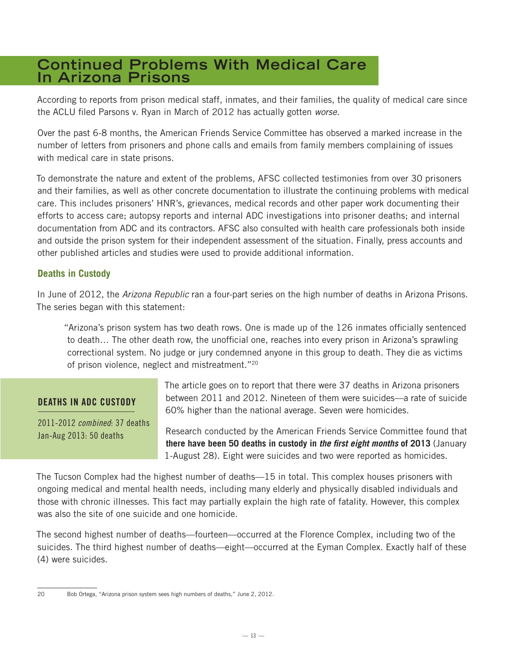# **Continued Problems With Medical Care In Arizona Prisons**

According to reports from prison medical staff, inmates, and their families, the quality of medical care since the ACLU filed Parsons v. Ryan in March of 2012 has actually gotten *worse*.

Over the past 6-8 months, the American Friends Service Committee has observed a marked increase in the number of letters from prisoners and phone calls and emails from family members complaining of issues with medical care in state prisons.

To demonstrate the nature and extent of the problems, AFSC collected testimonies from over 30 prisoners and their families, as well as other concrete documentation to illustrate the continuing problems with medical care. This includes prisoners' HNR's, grievances, medical records and other paper work documenting their efforts to access care; autopsy reports and internal ADC investigations into prisoner deaths; and internal documentation from ADC and its contractors. AFSC also consulted with health care professionals both inside and outside the prison system for their independent assessment of the situation. Finally, press accounts and other published articles and studies were used to provide additional information.

#### **Deaths in Custody**

In June of 2012, the *Arizona Republic* ran a four-part series on the high number of deaths in Arizona Prisons. The series began with this statement:

"Arizona's prison system has two death rows. One is made up of the 126 inmates officially sentenced to death… The other death row, the unofficial one, reaches into every prison in Arizona's sprawling correctional system. No judge or jury condemned anyone in this group to death. They die as victims of prison violence, neglect and mistreatment."20

#### DEATHS IN ADC CUSTODY

2011-2012 *combined*: 37 deaths Jan-Aug 2013: 50 deaths

The article goes on to report that there were 37 deaths in Arizona prisoners between 2011 and 2012. Nineteen of them were suicides—a rate of suicide 60% higher than the national average. Seven were homicides.

Research conducted by the American Friends Service Committee found that **there have been 50 deaths in custody in** *the first eight months* **of 2013** (January 1-August 28). Eight were suicides and two were reported as homicides.

The Tucson Complex had the highest number of deaths—15 in total. This complex houses prisoners with ongoing medical and mental health needs, including many elderly and physically disabled individuals and those with chronic illnesses. This fact may partially explain the high rate of fatality. However, this complex was also the site of one suicide and one homicide.

The second highest number of deaths—fourteen—occurred at the Florence Complex, including two of the suicides. The third highest number of deaths—eight—occurred at the Eyman Complex. Exactly half of these (4) were suicides.

<sup>20</sup> Bob Ortega, "Arizona prison system sees high numbers of deaths," June 2, 2012.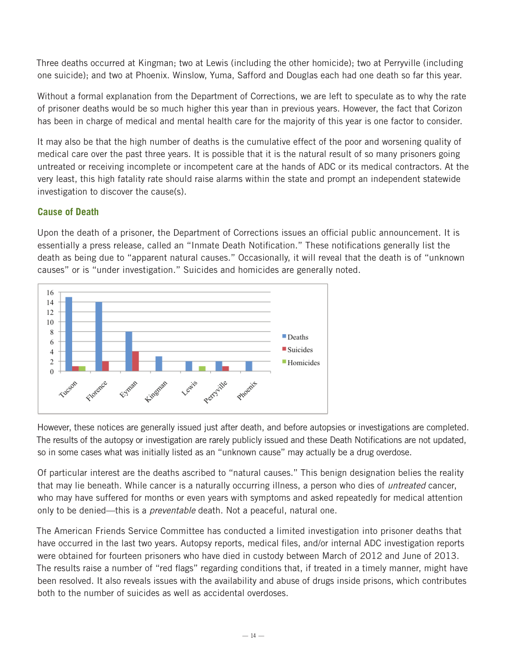Three deaths occurred at Kingman; two at Lewis (including the other homicide); two at Perryville (including one suicide); and two at Phoenix. Winslow, Yuma, Safford and Douglas each had one death so far this year.

Without a formal explanation from the Department of Corrections, we are left to speculate as to why the rate of prisoner deaths would be so much higher this year than in previous years. However, the fact that Corizon has been in charge of medical and mental health care for the majority of this year is one factor to consider.

It may also be that the high number of deaths is the cumulative effect of the poor and worsening quality of medical care over the past three years. It is possible that it is the natural result of so many prisoners going untreated or receiving incomplete or incompetent care at the hands of ADC or its medical contractors. At the very least, this high fatality rate should raise alarms within the state and prompt an independent statewide investigation to discover the cause(s).

#### **Cause of Death**

Upon the death of a prisoner, the Department of Corrections issues an official public announcement. It is essentially a press release, called an "Inmate Death Notification." These notifications generally list the death as being due to "apparent natural causes." Occasionally, it will reveal that the death is of "unknown causes" or is "under investigation." Suicides and homicides are generally noted.



However, these notices are generally issued just after death, and before autopsies or investigations are completed. The results of the autopsy or investigation are rarely publicly issued and these Death Notifications are not updated, so in some cases what was initially listed as an "unknown cause" may actually be a drug overdose.

Of particular interest are the deaths ascribed to "natural causes." This benign designation belies the reality that may lie beneath. While cancer is a naturally occurring illness, a person who dies of *untreated* cancer, who may have suffered for months or even years with symptoms and asked repeatedly for medical attention only to be denied—this is a *preventable* death. Not a peaceful, natural one.

The American Friends Service Committee has conducted a limited investigation into prisoner deaths that have occurred in the last two years. Autopsy reports, medical files, and/or internal ADC investigation reports were obtained for fourteen prisoners who have died in custody between March of 2012 and June of 2013. The results raise a number of "red flags" regarding conditions that, if treated in a timely manner, might have been resolved. It also reveals issues with the availability and abuse of drugs inside prisons, which contributes both to the number of suicides as well as accidental overdoses.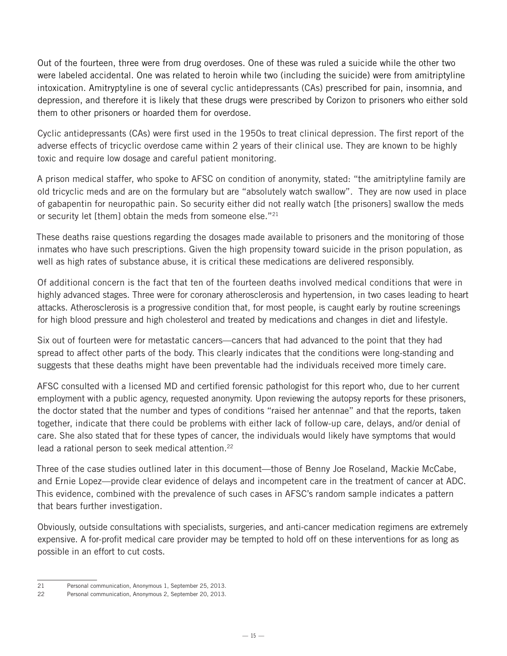Out of the fourteen, three were from drug overdoses. One of these was ruled a suicide while the other two were labeled accidental. One was related to heroin while two (including the suicide) were from amitriptyline intoxication. Amitryptyline is one of several cyclic antidepressants (CAs) prescribed for pain, insomnia, and depression, and therefore it is likely that these drugs were prescribed by Corizon to prisoners who either sold them to other prisoners or hoarded them for overdose.

Cyclic antidepressants (CAs) were first used in the 1950s to treat clinical depression. The first report of the adverse effects of tricyclic overdose came within 2 years of their clinical use. They are known to be highly toxic and require low dosage and careful patient monitoring.

A prison medical staffer, who spoke to AFSC on condition of anonymity, stated: "the amitriptyline family are old tricyclic meds and are on the formulary but are "absolutely watch swallow". They are now used in place of gabapentin for neuropathic pain. So security either did not really watch [the prisoners] swallow the meds or security let [them] obtain the meds from someone else."<sup>21</sup>

These deaths raise questions regarding the dosages made available to prisoners and the monitoring of those inmates who have such prescriptions. Given the high propensity toward suicide in the prison population, as well as high rates of substance abuse, it is critical these medications are delivered responsibly.

Of additional concern is the fact that ten of the fourteen deaths involved medical conditions that were in highly advanced stages. Three were for coronary atherosclerosis and hypertension, in two cases leading to heart attacks. Atherosclerosis is a progressive condition that, for most people, is caught early by routine screenings for high blood pressure and high cholesterol and treated by medications and changes in diet and lifestyle.

Six out of fourteen were for metastatic cancers—cancers that had advanced to the point that they had spread to affect other parts of the body. This clearly indicates that the conditions were long-standing and suggests that these deaths might have been preventable had the individuals received more timely care.

AFSC consulted with a licensed MD and certified forensic pathologist for this report who, due to her current employment with a public agency, requested anonymity. Upon reviewing the autopsy reports for these prisoners, the doctor stated that the number and types of conditions "raised her antennae" and that the reports, taken together, indicate that there could be problems with either lack of follow-up care, delays, and/or denial of care. She also stated that for these types of cancer, the individuals would likely have symptoms that would lead a rational person to seek medical attention.<sup>22</sup>

Three of the case studies outlined later in this document—those of Benny Joe Roseland, Mackie McCabe, and Ernie Lopez—provide clear evidence of delays and incompetent care in the treatment of cancer at ADC. This evidence, combined with the prevalence of such cases in AFSC's random sample indicates a pattern that bears further investigation.

Obviously, outside consultations with specialists, surgeries, and anti-cancer medication regimens are extremely expensive. A for-profit medical care provider may be tempted to hold off on these interventions for as long as possible in an effort to cut costs.

<sup>21</sup> Personal communication, Anonymous 1, September 25, 2013.

<sup>22</sup> Personal communication, Anonymous 2, September 20, 2013.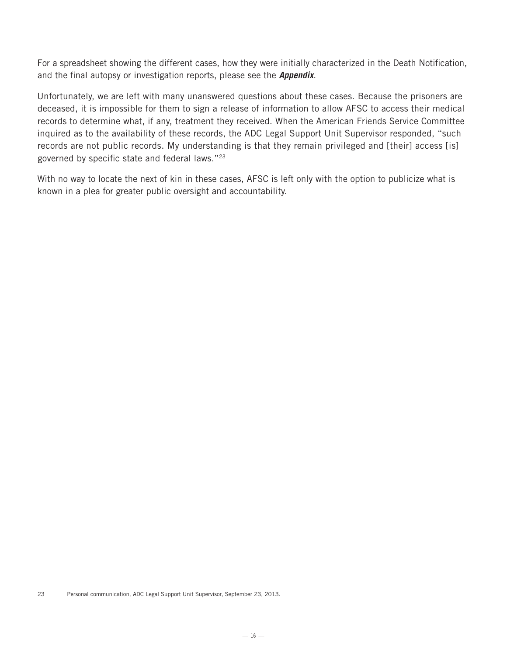For a spreadsheet showing the different cases, how they were initially characterized in the Death Notification, and the final autopsy or investigation reports, please see the *Appendix*.

Unfortunately, we are left with many unanswered questions about these cases. Because the prisoners are deceased, it is impossible for them to sign a release of information to allow AFSC to access their medical records to determine what, if any, treatment they received. When the American Friends Service Committee inquired as to the availability of these records, the ADC Legal Support Unit Supervisor responded, "such records are not public records. My understanding is that they remain privileged and [their] access [is] governed by specific state and federal laws."23

With no way to locate the next of kin in these cases, AFSC is left only with the option to publicize what is known in a plea for greater public oversight and accountability.

<sup>23</sup> Personal communication, ADC Legal Support Unit Supervisor, September 23, 2013.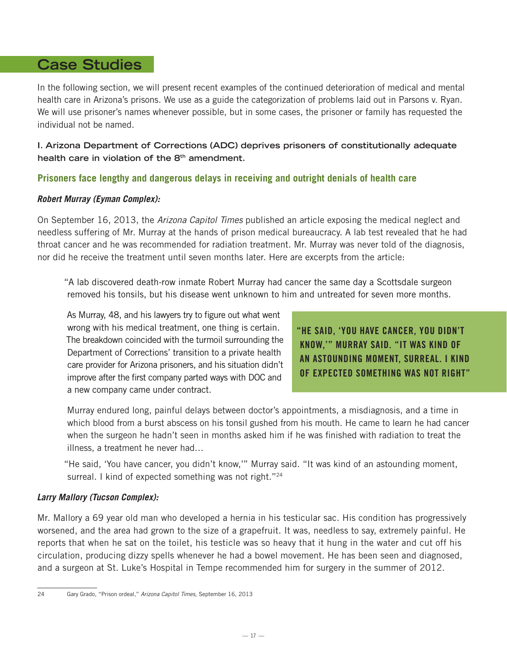# **Case Studies**

In the following section, we will present recent examples of the continued deterioration of medical and mental health care in Arizona's prisons. We use as a guide the categorization of problems laid out in Parsons v. Ryan. We will use prisoner's names whenever possible, but in some cases, the prisoner or family has requested the individual not be named.

**I. Arizona Department of Corrections (ADC) deprives prisoners of constitutionally adequate health care in violation of the 8th amendment.**

#### **Prisoners face lengthy and dangerous delays in receiving and outright denials of health care**

#### *Robert Murray (Eyman Complex):*

On September 16, 2013, the *Arizona Capitol Times* published an article exposing the medical neglect and needless suffering of Mr. Murray at the hands of prison medical bureaucracy. A lab test revealed that he had throat cancer and he was recommended for radiation treatment. Mr. Murray was never told of the diagnosis, nor did he receive the treatment until seven months later. Here are excerpts from the article:

"A lab discovered death-row inmate Robert Murray had cancer the same day a Scottsdale surgeon removed his tonsils, but his disease went unknown to him and untreated for seven more months.

As Murray, 48, and his lawyers try to figure out what went wrong with his medical treatment, one thing is certain. The breakdown coincided with the turmoil surrounding the Department of Corrections' transition to a private health care provider for Arizona prisoners, and his situation didn't improve after the first company parted ways with DOC and a new company came under contract.

"HE SAID, 'YOU HAVE CANCER, YOU DIDN'T KNOW,'" MURRAY SAID. "IT WAS KIND OF AN ASTOUNDING MOMENT, SURREAL. I KIND OF EXPECTED SOMETHING WAS NOT RIGHT"

Murray endured long, painful delays between doctor's appointments, a misdiagnosis, and a time in which blood from a burst abscess on his tonsil gushed from his mouth. He came to learn he had cancer when the surgeon he hadn't seen in months asked him if he was finished with radiation to treat the illness, a treatment he never had…

"He said, 'You have cancer, you didn't know,'" Murray said. "It was kind of an astounding moment, surreal. I kind of expected something was not right."<sup>24</sup>

#### *Larry Mallory (Tucson Complex):*

Mr. Mallory a 69 year old man who developed a hernia in his testicular sac. His condition has progressively worsened, and the area had grown to the size of a grapefruit. It was, needless to say, extremely painful. He reports that when he sat on the toilet, his testicle was so heavy that it hung in the water and cut off his circulation, producing dizzy spells whenever he had a bowel movement. He has been seen and diagnosed, and a surgeon at St. Luke's Hospital in Tempe recommended him for surgery in the summer of 2012.

<sup>24</sup> Gary Grado, "Prison ordeal," *Arizona Capitol Times*, September 16, 2013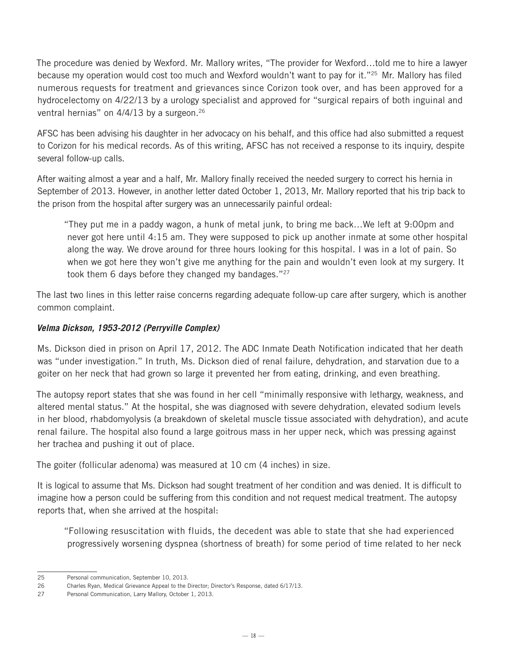The procedure was denied by Wexford. Mr. Mallory writes, "The provider for Wexford…told me to hire a lawyer because my operation would cost too much and Wexford wouldn't want to pay for it."25 Mr. Mallory has filed numerous requests for treatment and grievances since Corizon took over, and has been approved for a hydrocelectomy on 4/22/13 by a urology specialist and approved for "surgical repairs of both inguinal and ventral hernias" on  $4/4/13$  by a surgeon.<sup>26</sup>

AFSC has been advising his daughter in her advocacy on his behalf, and this office had also submitted a request to Corizon for his medical records. As of this writing, AFSC has not received a response to its inquiry, despite several follow-up calls.

After waiting almost a year and a half, Mr. Mallory finally received the needed surgery to correct his hernia in September of 2013. However, in another letter dated October 1, 2013, Mr. Mallory reported that his trip back to the prison from the hospital after surgery was an unnecessarily painful ordeal:

"They put me in a paddy wagon, a hunk of metal junk, to bring me back…We left at 9:00pm and never got here until 4:15 am. They were supposed to pick up another inmate at some other hospital along the way. We drove around for three hours looking for this hospital. I was in a lot of pain. So when we got here they won't give me anything for the pain and wouldn't even look at my surgery. It took them 6 days before they changed my bandages."<sup>27</sup>

The last two lines in this letter raise concerns regarding adequate follow-up care after surgery, which is another common complaint.

#### *Velma Dickson, 1953-2012 (Perryville Complex)*

Ms. Dickson died in prison on April 17, 2012. The ADC Inmate Death Notification indicated that her death was "under investigation." In truth, Ms. Dickson died of renal failure, dehydration, and starvation due to a goiter on her neck that had grown so large it prevented her from eating, drinking, and even breathing.

The autopsy report states that she was found in her cell "minimally responsive with lethargy, weakness, and altered mental status." At the hospital, she was diagnosed with severe dehydration, elevated sodium levels in her blood, rhabdomyolysis (a breakdown of skeletal muscle tissue associated with dehydration), and acute renal failure. The hospital also found a large goitrous mass in her upper neck, which was pressing against her trachea and pushing it out of place.

The goiter (follicular adenoma) was measured at 10 cm (4 inches) in size.

It is logical to assume that Ms. Dickson had sought treatment of her condition and was denied. It is difficult to imagine how a person could be suffering from this condition and not request medical treatment. The autopsy reports that, when she arrived at the hospital:

"Following resuscitation with fluids, the decedent was able to state that she had experienced progressively worsening dyspnea (shortness of breath) for some period of time related to her neck

<sup>25</sup> Personal communication, September 10, 2013.

<sup>26</sup> Charles Ryan, Medical Grievance Appeal to the Director; Director's Response, dated 6/17/13.

<sup>27</sup> Personal Communication, Larry Mallory, October 1, 2013.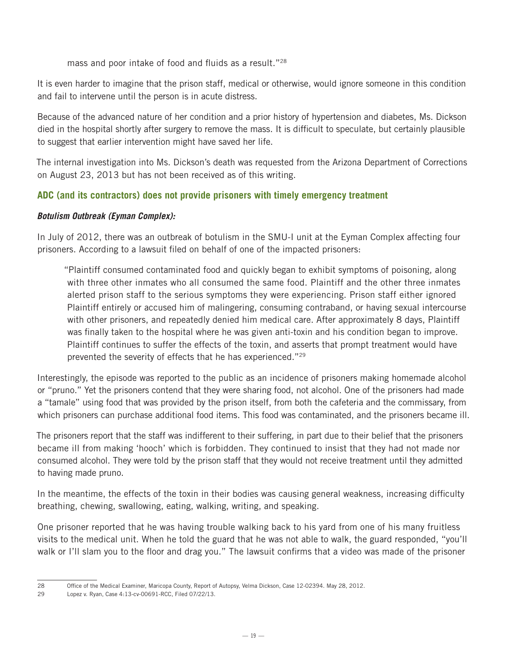mass and poor intake of food and fluids as a result."<sup>28</sup>

It is even harder to imagine that the prison staff, medical or otherwise, would ignore someone in this condition and fail to intervene until the person is in acute distress.

Because of the advanced nature of her condition and a prior history of hypertension and diabetes, Ms. Dickson died in the hospital shortly after surgery to remove the mass. It is difficult to speculate, but certainly plausible to suggest that earlier intervention might have saved her life.

The internal investigation into Ms. Dickson's death was requested from the Arizona Department of Corrections on August 23, 2013 but has not been received as of this writing.

#### **ADC (and its contractors) does not provide prisoners with timely emergency treatment**

#### *Botulism Outbreak (Eyman Complex):*

In July of 2012, there was an outbreak of botulism in the SMU-I unit at the Eyman Complex affecting four prisoners. According to a lawsuit filed on behalf of one of the impacted prisoners:

"Plaintiff consumed contaminated food and quickly began to exhibit symptoms of poisoning, along with three other inmates who all consumed the same food. Plaintiff and the other three inmates alerted prison staff to the serious symptoms they were experiencing. Prison staff either ignored Plaintiff entirely or accused him of malingering, consuming contraband, or having sexual intercourse with other prisoners, and repeatedly denied him medical care. After approximately 8 days, Plaintiff was finally taken to the hospital where he was given anti-toxin and his condition began to improve. Plaintiff continues to suffer the effects of the toxin, and asserts that prompt treatment would have prevented the severity of effects that he has experienced."<sup>29</sup>

Interestingly, the episode was reported to the public as an incidence of prisoners making homemade alcohol or "pruno." Yet the prisoners contend that they were sharing food, not alcohol. One of the prisoners had made a "tamale" using food that was provided by the prison itself, from both the cafeteria and the commissary, from which prisoners can purchase additional food items. This food was contaminated, and the prisoners became ill.

The prisoners report that the staff was indifferent to their suffering, in part due to their belief that the prisoners became ill from making 'hooch' which is forbidden. They continued to insist that they had not made nor consumed alcohol. They were told by the prison staff that they would not receive treatment until they admitted to having made pruno.

In the meantime, the effects of the toxin in their bodies was causing general weakness, increasing difficulty breathing, chewing, swallowing, eating, walking, writing, and speaking.

One prisoner reported that he was having trouble walking back to his yard from one of his many fruitless visits to the medical unit. When he told the guard that he was not able to walk, the guard responded, "you'll walk or I'll slam you to the floor and drag you." The lawsuit confirms that a video was made of the prisoner

<sup>28</sup> Office of the Medical Examiner, Maricopa County, Report of Autopsy, Velma Dickson, Case 12-02394. May 28, 2012.

<sup>29</sup> Lopez v. Ryan, Case 4:13-cv-00691-RCC, Filed 07/22/13.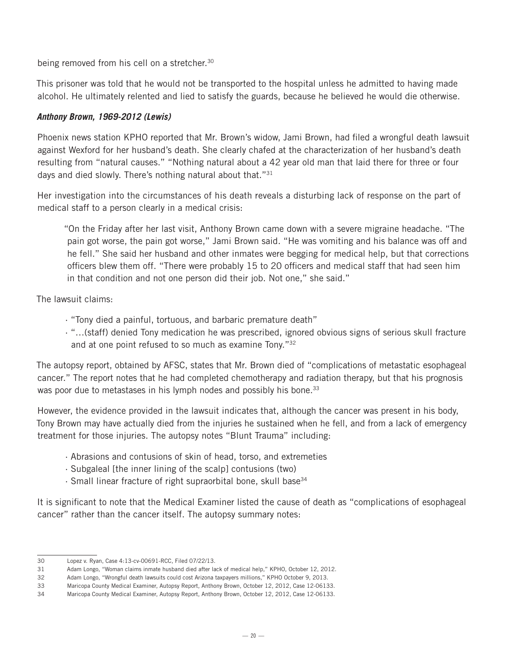being removed from his cell on a stretcher.<sup>30</sup>

This prisoner was told that he would not be transported to the hospital unless he admitted to having made alcohol. He ultimately relented and lied to satisfy the guards, because he believed he would die otherwise.

#### *Anthony Brown, 1969-2012 (Lewis)*

Phoenix news station KPHO reported that Mr. Brown's widow, Jami Brown, had filed a wrongful death lawsuit against Wexford for her husband's death. She clearly chafed at the characterization of her husband's death resulting from "natural causes." "Nothing natural about a 42 year old man that laid there for three or four days and died slowly. There's nothing natural about that."31

Her investigation into the circumstances of his death reveals a disturbing lack of response on the part of medical staff to a person clearly in a medical crisis:

"On the Friday after her last visit, Anthony Brown came down with a severe migraine headache. "The pain got worse, the pain got worse," Jami Brown said. "He was vomiting and his balance was off and he fell." She said her husband and other inmates were begging for medical help, but that corrections officers blew them off. "There were probably 15 to 20 officers and medical staff that had seen him in that condition and not one person did their job. Not one," she said."

The lawsuit claims:

- · "Tony died a painful, tortuous, and barbaric premature death"
- · "…(staff) denied Tony medication he was prescribed, ignored obvious signs of serious skull fracture and at one point refused to so much as examine Tony."<sup>32</sup>

The autopsy report, obtained by AFSC, states that Mr. Brown died of "complications of metastatic esophageal cancer." The report notes that he had completed chemotherapy and radiation therapy, but that his prognosis was poor due to metastases in his lymph nodes and possibly his bone.<sup>33</sup>

However, the evidence provided in the lawsuit indicates that, although the cancer was present in his body, Tony Brown may have actually died from the injuries he sustained when he fell, and from a lack of emergency treatment for those injuries. The autopsy notes "Blunt Trauma" including:

- · Abrasions and contusions of skin of head, torso, and extremeties
- · Subgaleal [the inner lining of the scalp] contusions (two)
- $\cdot$  Small linear fracture of right supraorbital bone, skull base<sup>34</sup>

It is significant to note that the Medical Examiner listed the cause of death as "complications of esophageal cancer" rather than the cancer itself. The autopsy summary notes:

<sup>30</sup> Lopez v. Ryan, Case 4:13-cv-00691-RCC, Filed 07/22/13.

<sup>31</sup> Adam Longo, "Woman claims inmate husband died after lack of medical help," KPHO, October 12, 2012.

<sup>32</sup> Adam Longo, "Wrongful death lawsuits could cost Arizona taxpayers millions," KPHO October 9, 2013.

<sup>33</sup> Maricopa County Medical Examiner, Autopsy Report, Anthony Brown, October 12, 2012, Case 12-06133.

<sup>34</sup> Maricopa County Medical Examiner, Autopsy Report, Anthony Brown, October 12, 2012, Case 12-06133.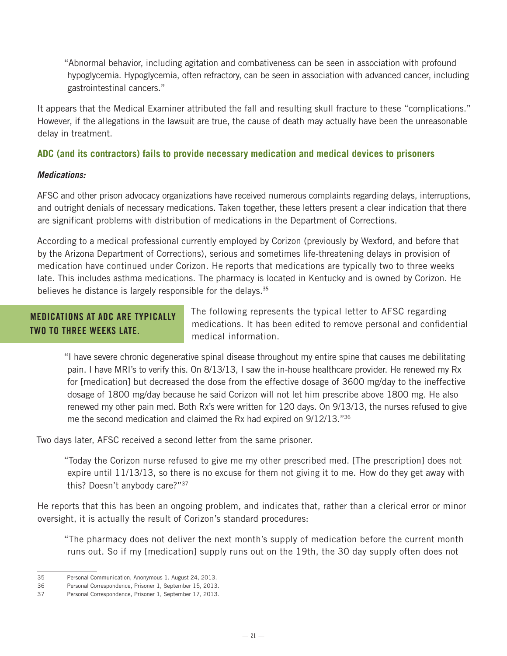"Abnormal behavior, including agitation and combativeness can be seen in association with profound hypoglycemia. Hypoglycemia, often refractory, can be seen in association with advanced cancer, including gastrointestinal cancers."

It appears that the Medical Examiner attributed the fall and resulting skull fracture to these "complications." However, if the allegations in the lawsuit are true, the cause of death may actually have been the unreasonable delay in treatment.

#### **ADC (and its contractors) fails to provide necessary medication and medical devices to prisoners**

#### *Medications:*

AFSC and other prison advocacy organizations have received numerous complaints regarding delays, interruptions, and outright denials of necessary medications. Taken together, these letters present a clear indication that there are significant problems with distribution of medications in the Department of Corrections.

According to a medical professional currently employed by Corizon (previously by Wexford, and before that by the Arizona Department of Corrections), serious and sometimes life-threatening delays in provision of medication have continued under Corizon. He reports that medications are typically two to three weeks late. This includes asthma medications. The pharmacy is located in Kentucky and is owned by Corizon. He believes he distance is largely responsible for the delays.<sup>35</sup>

#### MEDICATIONS AT ADC ARE TYPICALLY TWO TO THREE WEEKS LATE.

The following represents the typical letter to AFSC regarding medications. It has been edited to remove personal and confidential medical information.

"I have severe chronic degenerative spinal disease throughout my entire spine that causes me debilitating pain. I have MRI's to verify this. On 8/13/13, I saw the in-house healthcare provider. He renewed my Rx for [medication] but decreased the dose from the effective dosage of 3600 mg/day to the ineffective dosage of 1800 mg/day because he said Corizon will not let him prescribe above 1800 mg. He also renewed my other pain med. Both Rx's were written for 120 days. On 9/13/13, the nurses refused to give me the second medication and claimed the Rx had expired on 9/12/13."<sup>36</sup>

Two days later, AFSC received a second letter from the same prisoner.

"Today the Corizon nurse refused to give me my other prescribed med. [The prescription] does not expire until 11/13/13, so there is no excuse for them not giving it to me. How do they get away with this? Doesn't anybody care?"37

He reports that this has been an ongoing problem, and indicates that, rather than a clerical error or minor oversight, it is actually the result of Corizon's standard procedures:

"The pharmacy does not deliver the next month's supply of medication before the current month runs out. So if my [medication] supply runs out on the 19th, the 30 day supply often does not

<sup>35</sup> Personal Communication, Anonymous 1. August 24, 2013.

<sup>36</sup> Personal Correspondence, Prisoner 1, September 15, 2013.

<sup>37</sup> Personal Correspondence, Prisoner 1, September 17, 2013.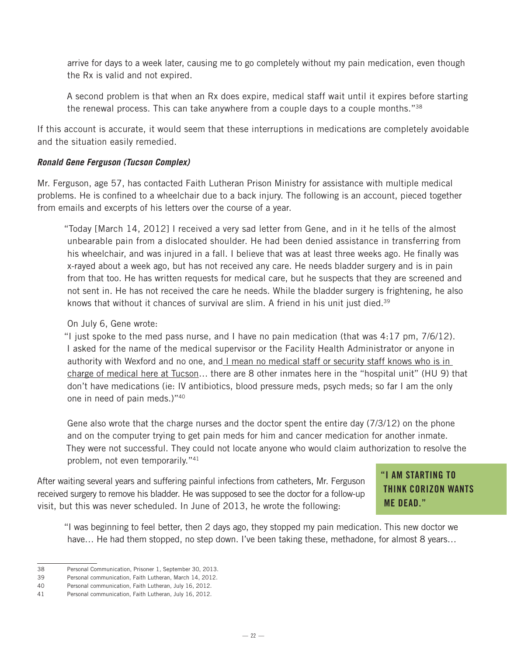arrive for days to a week later, causing me to go completely without my pain medication, even though the Rx is valid and not expired.

A second problem is that when an Rx does expire, medical staff wait until it expires before starting the renewal process. This can take anywhere from a couple days to a couple months."38

If this account is accurate, it would seem that these interruptions in medications are completely avoidable and the situation easily remedied.

#### *Ronald Gene Ferguson (Tucson Complex)*

Mr. Ferguson, age 57, has contacted Faith Lutheran Prison Ministry for assistance with multiple medical problems. He is confined to a wheelchair due to a back injury. The following is an account, pieced together from emails and excerpts of his letters over the course of a year.

"Today [March 14, 2012] I received a very sad letter from Gene, and in it he tells of the almost unbearable pain from a dislocated shoulder. He had been denied assistance in transferring from his wheelchair, and was injured in a fall. I believe that was at least three weeks ago. He finally was x-rayed about a week ago, but has not received any care. He needs bladder surgery and is in pain from that too. He has written requests for medical care, but he suspects that they are screened and not sent in. He has not received the care he needs. While the bladder surgery is frightening, he also knows that without it chances of survival are slim. A friend in his unit just died.<sup>39</sup>

#### On July 6, Gene wrote:

"I just spoke to the med pass nurse, and I have no pain medication (that was 4:17 pm, 7/6/12). I asked for the name of the medical supervisor or the Facility Health Administrator or anyone in authority with Wexford and no one, and I mean no medical staff or security staff knows who is in charge of medical here at Tucson… there are 8 other inmates here in the "hospital unit" (HU 9) that don't have medications (ie: IV antibiotics, blood pressure meds, psych meds; so far I am the only one in need of pain meds.)"40

Gene also wrote that the charge nurses and the doctor spent the entire day (7/3/12) on the phone and on the computer trying to get pain meds for him and cancer medication for another inmate. They were not successful. They could not locate anyone who would claim authorization to resolve the problem, not even temporarily."41

After waiting several years and suffering painful infections from catheters, Mr. Ferguson received surgery to remove his bladder. He was supposed to see the doctor for a follow-up visit, but this was never scheduled. In June of 2013, he wrote the following:

### "I AM STARTING TO THINK CORIZON WANTS ME DEAD."

"I was beginning to feel better, then 2 days ago, they stopped my pain medication. This new doctor we have... He had them stopped, no step down. I've been taking these, methadone, for almost 8 years...

<sup>38</sup> Personal Communication, Prisoner 1, September 30, 2013.

<sup>39</sup> Personal communication, Faith Lutheran, March 14, 2012.

<sup>40</sup> Personal communication, Faith Lutheran, July 16, 2012.

<sup>41</sup> Personal communication, Faith Lutheran, July 16, 2012.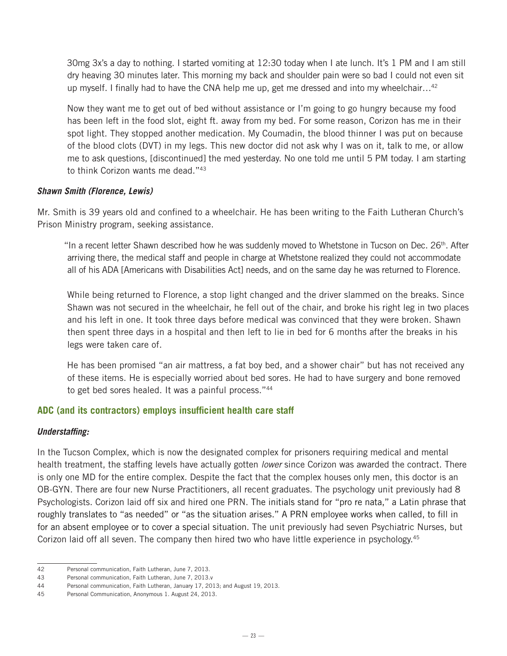30mg 3x's a day to nothing. I started vomiting at 12:30 today when I ate lunch. It's 1 PM and I am still dry heaving 30 minutes later. This morning my back and shoulder pain were so bad I could not even sit up myself. I finally had to have the CNA help me up, get me dressed and into my wheelchair...<sup>42</sup>

Now they want me to get out of bed without assistance or I'm going to go hungry because my food has been left in the food slot, eight ft. away from my bed. For some reason, Corizon has me in their spot light. They stopped another medication. My Coumadin, the blood thinner I was put on because of the blood clots (DVT) in my legs. This new doctor did not ask why I was on it, talk to me, or allow me to ask questions, [discontinued] the med yesterday. No one told me until 5 PM today. I am starting to think Corizon wants me dead."43

#### *Shawn Smith (Florence, Lewis)*

Mr. Smith is 39 years old and confined to a wheelchair. He has been writing to the Faith Lutheran Church's Prison Ministry program, seeking assistance.

"In a recent letter Shawn described how he was suddenly moved to Whetstone in Tucson on Dec.  $26<sup>th</sup>$ . After arriving there, the medical staff and people in charge at Whetstone realized they could not accommodate all of his ADA [Americans with Disabilities Act] needs, and on the same day he was returned to Florence.

While being returned to Florence, a stop light changed and the driver slammed on the breaks. Since Shawn was not secured in the wheelchair, he fell out of the chair, and broke his right leg in two places and his left in one. It took three days before medical was convinced that they were broken. Shawn then spent three days in a hospital and then left to lie in bed for 6 months after the breaks in his legs were taken care of.

He has been promised "an air mattress, a fat boy bed, and a shower chair" but has not received any of these items. He is especially worried about bed sores. He had to have surgery and bone removed to get bed sores healed. It was a painful process."44

#### **ADC (and its contractors) employs insufficient health care staff**

#### *Understaffing:*

In the Tucson Complex, which is now the designated complex for prisoners requiring medical and mental health treatment, the staffing levels have actually gotten *lower* since Corizon was awarded the contract. There is only one MD for the entire complex. Despite the fact that the complex houses only men, this doctor is an OB-GYN. There are four new Nurse Practitioners, all recent graduates. The psychology unit previously had 8 Psychologists. Corizon laid off six and hired one PRN. The initials stand for "pro re nata," a Latin phrase that roughly translates to "as needed" or "as the situation arises." A PRN employee works when called, to fill in for an absent employee or to cover a special situation. The unit previously had seven Psychiatric Nurses, but Corizon laid off all seven. The company then hired two who have little experience in psychology.<sup>45</sup>

<sup>42</sup> Personal communication, Faith Lutheran, June 7, 2013.

<sup>43</sup> Personal communication, Faith Lutheran, June 7, 2013.v

<sup>44</sup> Personal communication, Faith Lutheran, January 17, 2013; and August 19, 2013.

<sup>45</sup> Personal Communication, Anonymous 1. August 24, 2013.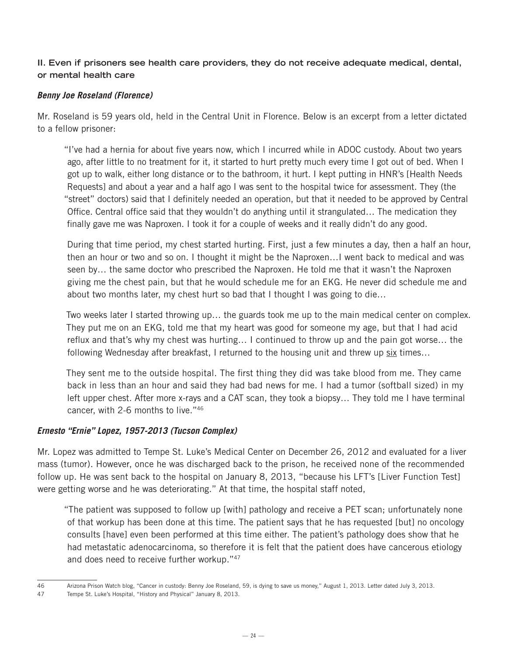#### **II. Even if prisoners see health care providers, they do not receive adequate medical, dental, or mental health care**

#### *Benny Joe Roseland (Florence)*

Mr. Roseland is 59 years old, held in the Central Unit in Florence. Below is an excerpt from a letter dictated to a fellow prisoner:

"I've had a hernia for about five years now, which I incurred while in ADOC custody. About two years ago, after little to no treatment for it, it started to hurt pretty much every time I got out of bed. When I got up to walk, either long distance or to the bathroom, it hurt. I kept putting in HNR's [Health Needs Requests] and about a year and a half ago I was sent to the hospital twice for assessment. They (the "street" doctors) said that I definitely needed an operation, but that it needed to be approved by Central Office. Central office said that they wouldn't do anything until it strangulated… The medication they finally gave me was Naproxen. I took it for a couple of weeks and it really didn't do any good.

During that time period, my chest started hurting. First, just a few minutes a day, then a half an hour, then an hour or two and so on. I thought it might be the Naproxen…I went back to medical and was seen by… the same doctor who prescribed the Naproxen. He told me that it wasn't the Naproxen giving me the chest pain, but that he would schedule me for an EKG. He never did schedule me and about two months later, my chest hurt so bad that I thought I was going to die…

Two weeks later I started throwing up… the guards took me up to the main medical center on complex. They put me on an EKG, told me that my heart was good for someone my age, but that I had acid reflux and that's why my chest was hurting… I continued to throw up and the pain got worse… the following Wednesday after breakfast, I returned to the housing unit and threw up six times…

They sent me to the outside hospital. The first thing they did was take blood from me. They came back in less than an hour and said they had bad news for me. I had a tumor (softball sized) in my left upper chest. After more x-rays and a CAT scan, they took a biopsy… They told me I have terminal cancer, with 2-6 months to live."46

#### *Ernesto "Ernie" Lopez, 1957-2013 (Tucson Complex)*

Mr. Lopez was admitted to Tempe St. Luke's Medical Center on December 26, 2012 and evaluated for a liver mass (tumor). However, once he was discharged back to the prison, he received none of the recommended follow up. He was sent back to the hospital on January 8, 2013, "because his LFT's [Liver Function Test] were getting worse and he was deteriorating." At that time, the hospital staff noted,

"The patient was supposed to follow up [with] pathology and receive a PET scan; unfortunately none of that workup has been done at this time. The patient says that he has requested [but] no oncology consults [have] even been performed at this time either. The patient's pathology does show that he had metastatic adenocarcinoma, so therefore it is felt that the patient does have cancerous etiology and does need to receive further workup."47

<sup>46</sup> Arizona Prison Watch blog, "Cancer in custody: Benny Joe Roseland, 59, is dying to save us money," August 1, 2013. Letter dated July 3, 2013.

<sup>47</sup> Tempe St. Luke's Hospital, "History and Physical" January 8, 2013.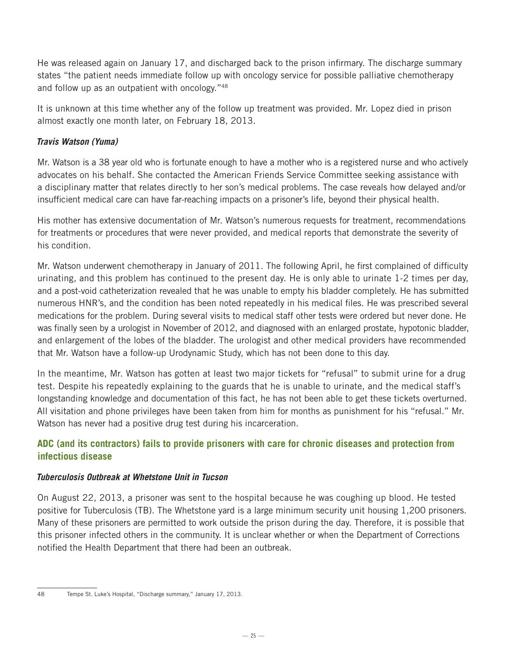He was released again on January 17, and discharged back to the prison infirmary. The discharge summary states "the patient needs immediate follow up with oncology service for possible palliative chemotherapy and follow up as an outpatient with oncology."48

It is unknown at this time whether any of the follow up treatment was provided. Mr. Lopez died in prison almost exactly one month later, on February 18, 2013.

#### *Travis Watson (Yuma)*

Mr. Watson is a 38 year old who is fortunate enough to have a mother who is a registered nurse and who actively advocates on his behalf. She contacted the American Friends Service Committee seeking assistance with a disciplinary matter that relates directly to her son's medical problems. The case reveals how delayed and/or insufficient medical care can have far-reaching impacts on a prisoner's life, beyond their physical health.

His mother has extensive documentation of Mr. Watson's numerous requests for treatment, recommendations for treatments or procedures that were never provided, and medical reports that demonstrate the severity of his condition.

Mr. Watson underwent chemotherapy in January of 2011. The following April, he first complained of difficulty urinating, and this problem has continued to the present day. He is only able to urinate 1-2 times per day, and a post-void catheterization revealed that he was unable to empty his bladder completely. He has submitted numerous HNR's, and the condition has been noted repeatedly in his medical files. He was prescribed several medications for the problem. During several visits to medical staff other tests were ordered but never done. He was finally seen by a urologist in November of 2012, and diagnosed with an enlarged prostate, hypotonic bladder, and enlargement of the lobes of the bladder. The urologist and other medical providers have recommended that Mr. Watson have a follow-up Urodynamic Study, which has not been done to this day.

In the meantime, Mr. Watson has gotten at least two major tickets for "refusal" to submit urine for a drug test. Despite his repeatedly explaining to the guards that he is unable to urinate, and the medical staff's longstanding knowledge and documentation of this fact, he has not been able to get these tickets overturned. All visitation and phone privileges have been taken from him for months as punishment for his "refusal." Mr. Watson has never had a positive drug test during his incarceration.

#### **ADC (and its contractors) fails to provide prisoners with care for chronic diseases and protection from infectious disease**

#### *Tuberculosis Outbreak at Whetstone Unit in Tucson*

On August 22, 2013, a prisoner was sent to the hospital because he was coughing up blood. He tested positive for Tuberculosis (TB). The Whetstone yard is a large minimum security unit housing 1,200 prisoners. Many of these prisoners are permitted to work outside the prison during the day. Therefore, it is possible that this prisoner infected others in the community. It is unclear whether or when the Department of Corrections notified the Health Department that there had been an outbreak.

<sup>48</sup> Tempe St. Luke's Hospital, "Discharge summary," January 17, 2013.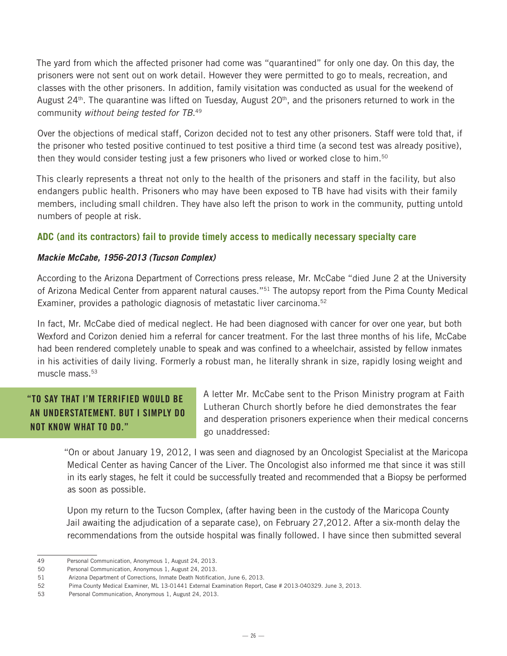The yard from which the affected prisoner had come was "quarantined" for only one day. On this day, the prisoners were not sent out on work detail. However they were permitted to go to meals, recreation, and classes with the other prisoners. In addition, family visitation was conducted as usual for the weekend of August 24<sup>th</sup>. The quarantine was lifted on Tuesday, August  $20<sup>th</sup>$ , and the prisoners returned to work in the community *without being tested for TB*. 49

Over the objections of medical staff, Corizon decided not to test any other prisoners. Staff were told that, if the prisoner who tested positive continued to test positive a third time (a second test was already positive), then they would consider testing just a few prisoners who lived or worked close to him.<sup>50</sup>

This clearly represents a threat not only to the health of the prisoners and staff in the facility, but also endangers public health. Prisoners who may have been exposed to TB have had visits with their family members, including small children. They have also left the prison to work in the community, putting untold numbers of people at risk.

#### **ADC (and its contractors) fail to provide timely access to medically necessary specialty care**

#### *Mackie McCabe, 1956-2013 (Tucson Complex)*

According to the Arizona Department of Corrections press release, Mr. McCabe "died June 2 at the University of Arizona Medical Center from apparent natural causes."<sup>51</sup> The autopsy report from the Pima County Medical Examiner, provides a pathologic diagnosis of metastatic liver carcinoma.<sup>52</sup>

In fact, Mr. McCabe died of medical neglect. He had been diagnosed with cancer for over one year, but both Wexford and Corizon denied him a referral for cancer treatment. For the last three months of his life, McCabe had been rendered completely unable to speak and was confined to a wheelchair, assisted by fellow inmates in his activities of daily living. Formerly a robust man, he literally shrank in size, rapidly losing weight and muscle mass. $53$ 

## "TO SAY THAT I'M TERRIFIED WOULD BE AN UNDERSTATEMENT. BUT I SIMPLY DO NOT KNOW WHAT TO DO."

A letter Mr. McCabe sent to the Prison Ministry program at Faith Lutheran Church shortly before he died demonstrates the fear and desperation prisoners experience when their medical concerns go unaddressed:

"On or about January 19, 2012, I was seen and diagnosed by an Oncologist Specialist at the Maricopa Medical Center as having Cancer of the Liver. The Oncologist also informed me that since it was still in its early stages, he felt it could be successfully treated and recommended that a Biopsy be performed as soon as possible.

Upon my return to the Tucson Complex, (after having been in the custody of the Maricopa County Jail awaiting the adjudication of a separate case), on February 27,2012. After a six-month delay the recommendations from the outside hospital was finally followed. I have since then submitted several

<sup>49</sup> Personal Communication, Anonymous 1, August 24, 2013.

<sup>50</sup> Personal Communication, Anonymous 1, August 24, 2013.

<sup>51</sup> Arizona Department of Corrections, Inmate Death Notification, June 6, 2013.

<sup>52</sup> Pima County Medical Examiner, ML 13-01441 External Examination Report, Case # 2013-040329. June 3, 2013.

<sup>53</sup> Personal Communication, Anonymous 1, August 24, 2013.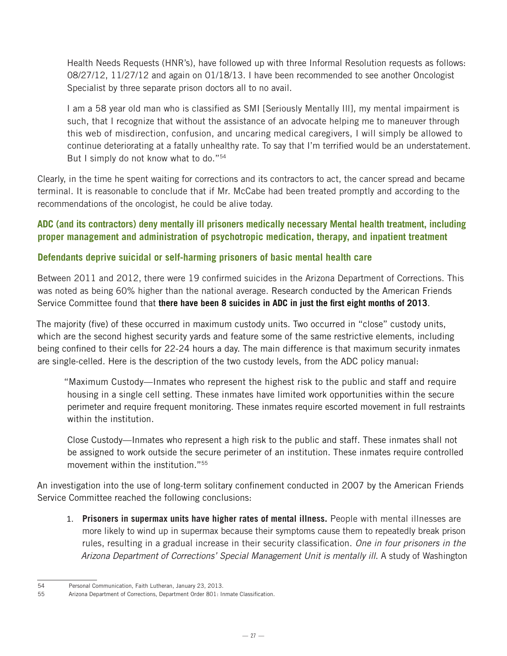Health Needs Requests (HNR's), have followed up with three Informal Resolution requests as follows: 08/27/12, 11/27/12 and again on 01/18/13. I have been recommended to see another Oncologist Specialist by three separate prison doctors all to no avail.

I am a 58 year old man who is classified as SMI [Seriously Mentally Ill], my mental impairment is such, that I recognize that without the assistance of an advocate helping me to maneuver through this web of misdirection, confusion, and uncaring medical caregivers, I will simply be allowed to continue deteriorating at a fatally unhealthy rate. To say that I'm terrified would be an understatement. But I simply do not know what to do."54

Clearly, in the time he spent waiting for corrections and its contractors to act, the cancer spread and became terminal. It is reasonable to conclude that if Mr. McCabe had been treated promptly and according to the recommendations of the oncologist, he could be alive today.

#### **ADC (and its contractors) deny mentally ill prisoners medically necessary Mental health treatment, including proper management and administration of psychotropic medication, therapy, and inpatient treatment**

#### **Defendants deprive suicidal or self-harming prisoners of basic mental health care**

Between 2011 and 2012, there were 19 confirmed suicides in the Arizona Department of Corrections. This was noted as being 60% higher than the national average. Research conducted by the American Friends Service Committee found that **there have been 8 suicides in ADC in just the first eight months of 2013**.

The majority (five) of these occurred in maximum custody units. Two occurred in "close" custody units, which are the second highest security yards and feature some of the same restrictive elements, including being confined to their cells for 22-24 hours a day. The main difference is that maximum security inmates are single-celled. Here is the description of the two custody levels, from the ADC policy manual:

"Maximum Custody—Inmates who represent the highest risk to the public and staff and require housing in a single cell setting. These inmates have limited work opportunities within the secure perimeter and require frequent monitoring. These inmates require escorted movement in full restraints within the institution.

Close Custody—Inmates who represent a high risk to the public and staff. These inmates shall not be assigned to work outside the secure perimeter of an institution. These inmates require controlled movement within the institution."55

An investigation into the use of long-term solitary confinement conducted in 2007 by the American Friends Service Committee reached the following conclusions:

1. **Prisoners in supermax units have higher rates of mental illness.** People with mental illnesses are more likely to wind up in supermax because their symptoms cause them to repeatedly break prison rules, resulting in a gradual increase in their security classification. *One in four prisoners in the*  Arizona Department of Corrections' Special Management Unit is mentally ill. A study of Washington

<sup>54</sup> Personal Communication, Faith Lutheran, January 23, 2013.

<sup>55</sup> Arizona Department of Corrections, Department Order 801: Inmate Classification.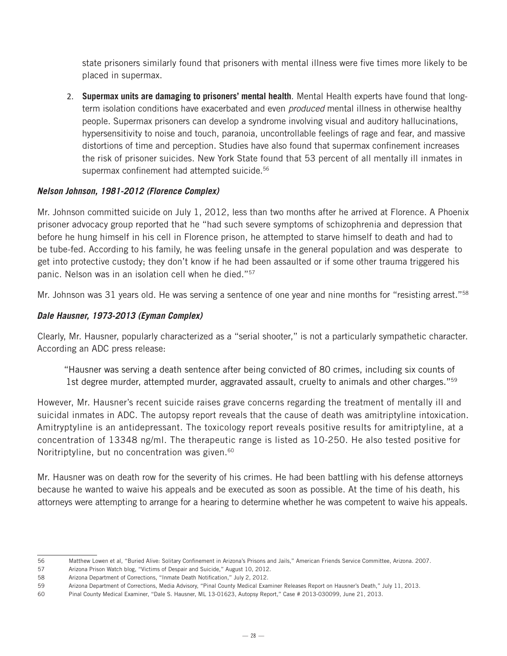state prisoners similarly found that prisoners with mental illness were five times more likely to be placed in supermax.

2. **Supermax units are damaging to prisoners' mental health**. Mental Health experts have found that longterm isolation conditions have exacerbated and even *produced* mental illness in otherwise healthy people. Supermax prisoners can develop a syndrome involving visual and auditory hallucinations, hypersensitivity to noise and touch, paranoia, uncontrollable feelings of rage and fear, and massive distortions of time and perception. Studies have also found that supermax confinement increases the risk of prisoner suicides. New York State found that 53 percent of all mentally ill inmates in supermax confinement had attempted suicide.<sup>56</sup>

#### *Nelson Johnson, 1981-2012 (Florence Complex)*

Mr. Johnson committed suicide on July 1, 2012, less than two months after he arrived at Florence. A Phoenix prisoner advocacy group reported that he "had such severe symptoms of schizophrenia and depression that before he hung himself in his cell in Florence prison, he attempted to starve himself to death and had to be tube-fed. According to his family, he was feeling unsafe in the general population and was desperate to get into protective custody; they don't know if he had been assaulted or if some other trauma triggered his panic. Nelson was in an isolation cell when he died."57

Mr. Johnson was 31 years old. He was serving a sentence of one year and nine months for "resisting arrest."<sup>58</sup>

#### *Dale Hausner, 1973-2013 (Eyman Complex)*

Clearly, Mr. Hausner, popularly characterized as a "serial shooter," is not a particularly sympathetic character. According an ADC press release:

"Hausner was serving a death sentence after being convicted of 80 crimes, including six counts of 1st degree murder, attempted murder, aggravated assault, cruelty to animals and other charges."<sup>59</sup>

However, Mr. Hausner's recent suicide raises grave concerns regarding the treatment of mentally ill and suicidal inmates in ADC. The autopsy report reveals that the cause of death was amitriptyline intoxication. Amitryptyline is an antidepressant. The toxicology report reveals positive results for amitriptyline, at a concentration of 13348 ng/ml. The therapeutic range is listed as 10-250. He also tested positive for Noritriptyline, but no concentration was given.<sup>60</sup>

Mr. Hausner was on death row for the severity of his crimes. He had been battling with his defense attorneys because he wanted to waive his appeals and be executed as soon as possible. At the time of his death, his attorneys were attempting to arrange for a hearing to determine whether he was competent to waive his appeals.

<sup>56</sup> Matthew Lowen et al, "Buried Alive: Solitary Confinement in Arizona's Prisons and Jails," American Friends Service Committee, Arizona. 2007.

<sup>57</sup> Arizona Prison Watch blog, "Victims of Despair and Suicide," August 10, 2012.

<sup>58</sup> Arizona Department of Corrections, "Inmate Death Notification," July 2, 2012.

<sup>59</sup> Arizona Department of Corrections, Media Advisory, "Pinal County Medical Examiner Releases Report on Hausner's Death," July 11, 2013.

<sup>60</sup> Pinal County Medical Examiner, "Dale S. Hausner, ML 13-01623, Autopsy Report," Case # 2013-030099, June 21, 2013.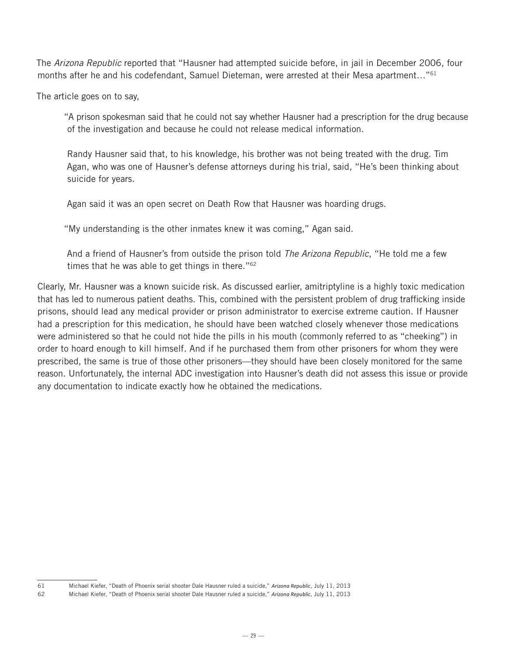The *Arizona Republic* reported that "Hausner had attempted suicide before, in jail in December 2006, four months after he and his codefendant, Samuel Dieteman, were arrested at their Mesa apartment..."<sup>61</sup>

The article goes on to say,

"A prison spokesman said that he could not say whether Hausner had a prescription for the drug because of the investigation and because he could not release medical information.

Randy Hausner said that, to his knowledge, his brother was not being treated with the drug. Tim Agan, who was one of Hausner's defense attorneys during his trial, said, "He's been thinking about suicide for years.

Agan said it was an open secret on Death Row that Hausner was hoarding drugs.

"My understanding is the other inmates knew it was coming," Agan said.

And a friend of Hausner's from outside the prison told *The Arizona Republic*, "He told me a few times that he was able to get things in there."<sup>62</sup>

Clearly, Mr. Hausner was a known suicide risk. As discussed earlier, amitriptyline is a highly toxic medication that has led to numerous patient deaths. This, combined with the persistent problem of drug trafficking inside prisons, should lead any medical provider or prison administrator to exercise extreme caution. If Hausner had a prescription for this medication, he should have been watched closely whenever those medications were administered so that he could not hide the pills in his mouth (commonly referred to as "cheeking") in order to hoard enough to kill himself. And if he purchased them from other prisoners for whom they were prescribed, the same is true of those other prisoners—they should have been closely monitored for the same reason. Unfortunately, the internal ADC investigation into Hausner's death did not assess this issue or provide any documentation to indicate exactly how he obtained the medications.

<sup>61</sup> Michael Kiefer, "Death of Phoenix serial shooter Dale Hausner ruled a suicide," *Arizona Republic*, July 11, 2013

<sup>62</sup> Michael Kiefer, "Death of Phoenix serial shooter Dale Hausner ruled a suicide," *Arizona Republic*, July 11, 2013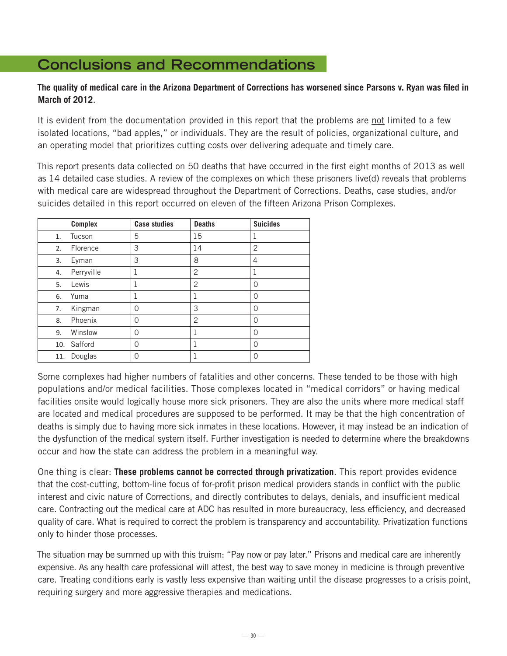# **Conclusions and Recommendations**

#### **The quality of medical care in the Arizona Department of Corrections has worsened since Parsons v. Ryan was filed in March of 2012**.

It is evident from the documentation provided in this report that the problems are not limited to a few isolated locations, "bad apples," or individuals. They are the result of policies, organizational culture, and an operating model that prioritizes cutting costs over delivering adequate and timely care.

This report presents data collected on 50 deaths that have occurred in the first eight months of 2013 as well as 14 detailed case studies. A review of the complexes on which these prisoners live(d) reveals that problems with medical care are widespread throughout the Department of Corrections. Deaths, case studies, and/or suicides detailed in this report occurred on eleven of the fifteen Arizona Prison Complexes.

| <b>Complex</b>   | <b>Case studies</b> | <b>Deaths</b>  | <b>Suicides</b> |
|------------------|---------------------|----------------|-----------------|
| Tucson<br>1.     | 5                   | 15             | 1               |
| Florence<br>2.   | 3                   | 14             | $\overline{2}$  |
| Eyman<br>3.      | 3                   | 8              | 4               |
| Perryville<br>4. | 1                   | $\overline{2}$ | 1               |
| Lewis<br>5.      | 1                   | $\overline{2}$ | $\Omega$        |
| Yuma<br>6.       | 1                   | 1              | $\Omega$        |
| Kingman<br>7.    | 0                   | 3              | $\Omega$        |
| Phoenix<br>8.    | 0                   | $\overline{2}$ | $\Omega$        |
| Winslow<br>9.    | 0                   | 1              | $\Omega$        |
| 10. Safford      | 0                   | 1              | $\Omega$        |
| Douglas<br>11.   | 0                   |                | 0               |

Some complexes had higher numbers of fatalities and other concerns. These tended to be those with high populations and/or medical facilities. Those complexes located in "medical corridors" or having medical facilities onsite would logically house more sick prisoners. They are also the units where more medical staff are located and medical procedures are supposed to be performed. It may be that the high concentration of deaths is simply due to having more sick inmates in these locations. However, it may instead be an indication of the dysfunction of the medical system itself. Further investigation is needed to determine where the breakdowns occur and how the state can address the problem in a meaningful way.

One thing is clear: **These problems cannot be corrected through privatization**. This report provides evidence that the cost-cutting, bottom-line focus of for-profit prison medical providers stands in conflict with the public interest and civic nature of Corrections, and directly contributes to delays, denials, and insufficient medical care. Contracting out the medical care at ADC has resulted in more bureaucracy, less efficiency, and decreased quality of care. What is required to correct the problem is transparency and accountability. Privatization functions only to hinder those processes.

The situation may be summed up with this truism: "Pay now or pay later." Prisons and medical care are inherently expensive. As any health care professional will attest, the best way to save money in medicine is through preventive care. Treating conditions early is vastly less expensive than waiting until the disease progresses to a crisis point, requiring surgery and more aggressive therapies and medications.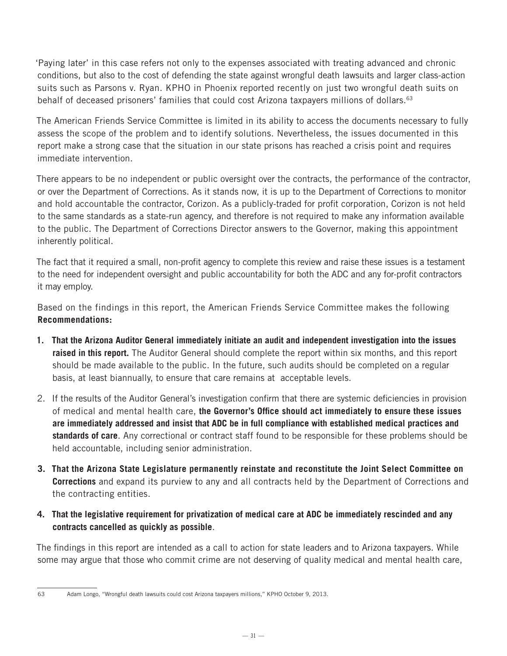'Paying later' in this case refers not only to the expenses associated with treating advanced and chronic conditions, but also to the cost of defending the state against wrongful death lawsuits and larger class-action suits such as Parsons v. Ryan. KPHO in Phoenix reported recently on just two wrongful death suits on behalf of deceased prisoners' families that could cost Arizona taxpayers millions of dollars.<sup>63</sup>

The American Friends Service Committee is limited in its ability to access the documents necessary to fully assess the scope of the problem and to identify solutions. Nevertheless, the issues documented in this report make a strong case that the situation in our state prisons has reached a crisis point and requires immediate intervention.

There appears to be no independent or public oversight over the contracts, the performance of the contractor, or over the Department of Corrections. As it stands now, it is up to the Department of Corrections to monitor and hold accountable the contractor, Corizon. As a publicly-traded for profit corporation, Corizon is not held to the same standards as a state-run agency, and therefore is not required to make any information available to the public. The Department of Corrections Director answers to the Governor, making this appointment inherently political.

The fact that it required a small, non-profit agency to complete this review and raise these issues is a testament to the need for independent oversight and public accountability for both the ADC and any for-profit contractors it may employ.

Based on the findings in this report, the American Friends Service Committee makes the following **Recommendations:**

- **1. That the Arizona Auditor General immediately initiate an audit and independent investigation into the issues raised in this report.** The Auditor General should complete the report within six months, and this report should be made available to the public. In the future, such audits should be completed on a regular basis, at least biannually, to ensure that care remains at acceptable levels.
- 2. If the results of the Auditor General's investigation confirm that there are systemic deficiencies in provision of medical and mental health care, **the Governor's Office should act immediately to ensure these issues are immediately addressed and insist that ADC be in full compliance with established medical practices and standards of care**. Any correctional or contract staff found to be responsible for these problems should be held accountable, including senior administration.
- **3. That the Arizona State Legislature permanently reinstate and reconstitute the Joint Select Committee on Corrections** and expand its purview to any and all contracts held by the Department of Corrections and the contracting entities.
- **4. That the legislative requirement for privatization of medical care at ADC be immediately rescinded and any contracts cancelled as quickly as possible**.

The findings in this report are intended as a call to action for state leaders and to Arizona taxpayers. While some may argue that those who commit crime are not deserving of quality medical and mental health care,

<sup>63</sup> Adam Longo, "Wrongful death lawsuits could cost Arizona taxpayers millions," KPHO October 9, 2013.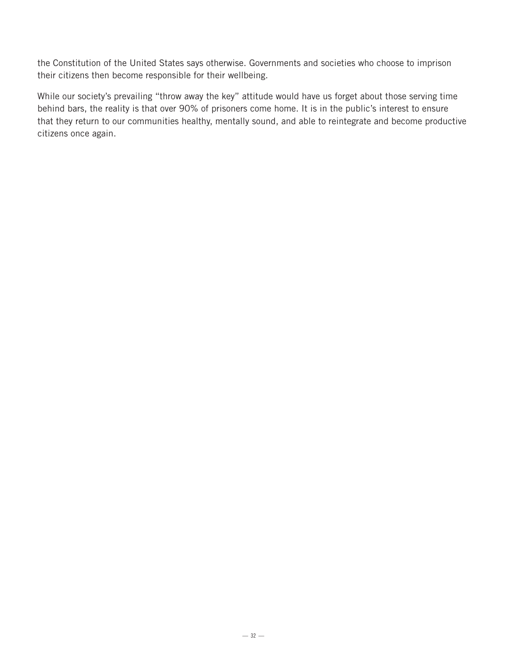the Constitution of the United States says otherwise. Governments and societies who choose to imprison their citizens then become responsible for their wellbeing.

While our society's prevailing "throw away the key" attitude would have us forget about those serving time behind bars, the reality is that over 90% of prisoners come home. It is in the public's interest to ensure that they return to our communities healthy, mentally sound, and able to reintegrate and become productive citizens once again.